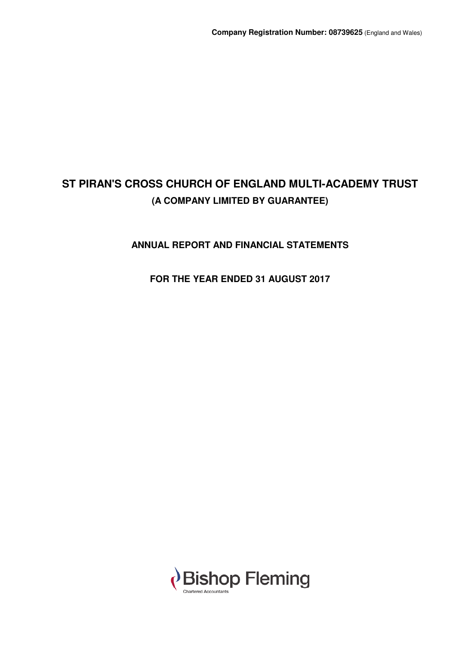## **ANNUAL REPORT AND FINANCIAL STATEMENTS**

## **FOR THE YEAR ENDED 31 AUGUST 2017**

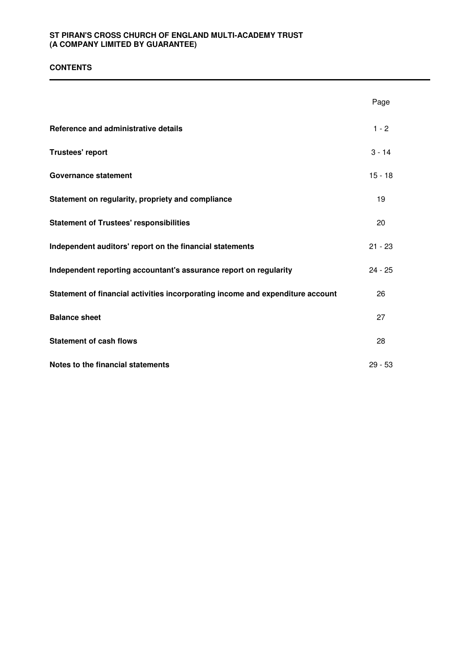## **CONTENTS**

|                                                                                | Page      |
|--------------------------------------------------------------------------------|-----------|
| Reference and administrative details                                           | $1 - 2$   |
| <b>Trustees' report</b>                                                        | $3 - 14$  |
| <b>Governance statement</b>                                                    | $15 - 18$ |
| Statement on regularity, propriety and compliance                              | 19        |
| <b>Statement of Trustees' responsibilities</b>                                 | 20        |
| Independent auditors' report on the financial statements                       | $21 - 23$ |
| Independent reporting accountant's assurance report on regularity              | $24 - 25$ |
| Statement of financial activities incorporating income and expenditure account | 26        |
| <b>Balance sheet</b>                                                           | 27        |
| <b>Statement of cash flows</b>                                                 | 28        |
| Notes to the financial statements                                              | $29 - 53$ |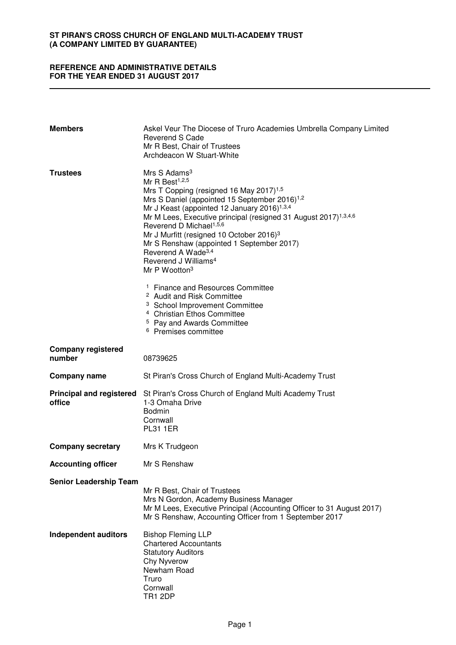### **REFERENCE AND ADMINISTRATIVE DETAILS FOR THE YEAR ENDED 31 AUGUST 2017**

| <b>Members</b>                            | Askel Veur The Diocese of Truro Academies Umbrella Company Limited<br>Reverend S Cade<br>Mr R Best, Chair of Trustees<br>Archdeacon W Stuart-White                                                                                                                                                                                                                                                                                                                                                                                                         |
|-------------------------------------------|------------------------------------------------------------------------------------------------------------------------------------------------------------------------------------------------------------------------------------------------------------------------------------------------------------------------------------------------------------------------------------------------------------------------------------------------------------------------------------------------------------------------------------------------------------|
| <b>Trustees</b>                           | Mrs S Adams <sup>3</sup><br>Mr R Best <sup>1,2,5</sup><br>Mrs T Copping (resigned 16 May 2017) <sup>1,5</sup><br>Mrs S Daniel (appointed 15 September 2016) <sup>1,2</sup><br>Mr J Keast (appointed 12 January 2016) <sup>1,3,4</sup><br>Mr M Lees, Executive principal (resigned 31 August 2017) <sup>1,3,4,6</sup><br>Reverend D Michael <sup>1,5,6</sup><br>Mr J Murfitt (resigned 10 October 2016) <sup>3</sup><br>Mr S Renshaw (appointed 1 September 2017)<br>Reverend A Wade <sup>3,4</sup><br>Reverend J Williams <sup>4</sup><br>Mr P Wootton $3$ |
|                                           | <sup>1</sup> Finance and Resources Committee<br><sup>2</sup> Audit and Risk Committee<br><sup>3</sup> School Improvement Committee<br><sup>4</sup> Christian Ethos Committee<br><sup>5</sup> Pay and Awards Committee<br><sup>6</sup> Premises committee                                                                                                                                                                                                                                                                                                   |
| <b>Company registered</b><br>number       | 08739625                                                                                                                                                                                                                                                                                                                                                                                                                                                                                                                                                   |
| <b>Company name</b>                       | St Piran's Cross Church of England Multi-Academy Trust                                                                                                                                                                                                                                                                                                                                                                                                                                                                                                     |
| <b>Principal and registered</b><br>office | St Piran's Cross Church of England Multi Academy Trust<br>1-3 Omaha Drive<br><b>Bodmin</b><br>Cornwall<br><b>PL31 1ER</b>                                                                                                                                                                                                                                                                                                                                                                                                                                  |
| <b>Company secretary</b>                  | Mrs K Trudgeon                                                                                                                                                                                                                                                                                                                                                                                                                                                                                                                                             |
| <b>Accounting officer</b>                 | Mr S Renshaw                                                                                                                                                                                                                                                                                                                                                                                                                                                                                                                                               |
| <b>Senior Leadership Team</b>             | Mr R Best, Chair of Trustees<br>Mrs N Gordon, Academy Business Manager<br>Mr M Lees, Executive Principal (Accounting Officer to 31 August 2017)<br>Mr S Renshaw, Accounting Officer from 1 September 2017                                                                                                                                                                                                                                                                                                                                                  |
| <b>Independent auditors</b>               | <b>Bishop Fleming LLP</b><br><b>Chartered Accountants</b><br><b>Statutory Auditors</b><br>Chy Nyverow<br>Newham Road<br>Truro<br>Cornwall<br><b>TR1 2DP</b>                                                                                                                                                                                                                                                                                                                                                                                                |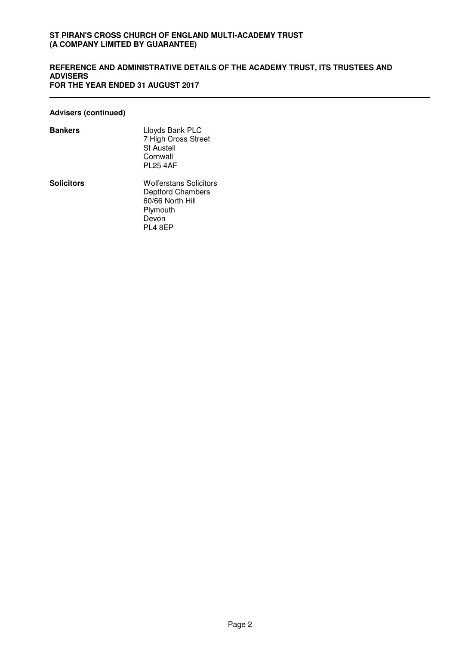#### **REFERENCE AND ADMINISTRATIVE DETAILS OF THE ACADEMY TRUST, ITS TRUSTEES AND ADVISERS FOR THE YEAR ENDED 31 AUGUST 2017**

## **Advisers (continued)**

| <b>Bankers</b>    | Lloyds Bank PLC<br>7 High Cross Street<br><b>St Austell</b><br>Cornwall<br><b>PL25 4AF</b>                    |
|-------------------|---------------------------------------------------------------------------------------------------------------|
| <b>Solicitors</b> | <b>Wolferstans Solicitors</b><br><b>Deptford Chambers</b><br>60/66 North Hill<br>Plymouth<br>Devon<br>PL4 8EP |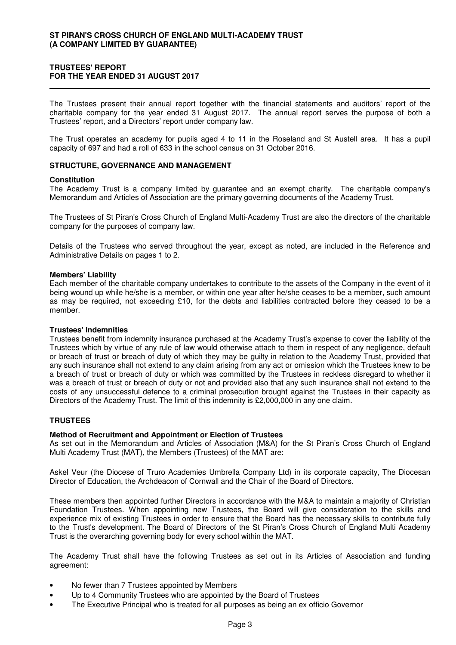## **TRUSTEES' REPORT FOR THE YEAR ENDED 31 AUGUST 2017**

The Trustees present their annual report together with the financial statements and auditors' report of the charitable company for the year ended 31 August 2017. The annual report serves the purpose of both a Trustees' report, and a Directors' report under company law.

The Trust operates an academy for pupils aged 4 to 11 in the Roseland and St Austell area. It has a pupil capacity of 697 and had a roll of 633 in the school census on 31 October 2016.

#### **STRUCTURE, GOVERNANCE AND MANAGEMENT**

#### **Constitution**

The Academy Trust is a company limited by guarantee and an exempt charity. The charitable company's Memorandum and Articles of Association are the primary governing documents of the Academy Trust.

The Trustees of St Piran's Cross Church of England Multi-Academy Trust are also the directors of the charitable company for the purposes of company law.

Details of the Trustees who served throughout the year, except as noted, are included in the Reference and Administrative Details on pages 1 to 2.

#### **Members' Liability**

Each member of the charitable company undertakes to contribute to the assets of the Company in the event of it being wound up while he/she is a member, or within one year after he/she ceases to be a member, such amount as may be required, not exceeding £10, for the debts and liabilities contracted before they ceased to be a member.

#### **Trustees' Indemnities**

Trustees benefit from indemnity insurance purchased at the Academy Trust's expense to cover the liability of the Trustees which by virtue of any rule of law would otherwise attach to them in respect of any negligence, default or breach of trust or breach of duty of which they may be guilty in relation to the Academy Trust, provided that any such insurance shall not extend to any claim arising from any act or omission which the Trustees knew to be a breach of trust or breach of duty or which was committed by the Trustees in reckless disregard to whether it was a breach of trust or breach of duty or not and provided also that any such insurance shall not extend to the costs of any unsuccessful defence to a criminal prosecution brought against the Trustees in their capacity as Directors of the Academy Trust. The limit of this indemnity is £2,000,000 in any one claim.

#### **TRUSTEES**

#### **Method of Recruitment and Appointment or Election of Trustees**

As set out in the Memorandum and Articles of Association (M&A) for the St Piran's Cross Church of England Multi Academy Trust (MAT), the Members (Trustees) of the MAT are:

Askel Veur (the Diocese of Truro Academies Umbrella Company Ltd) in its corporate capacity, The Diocesan Director of Education, the Archdeacon of Cornwall and the Chair of the Board of Directors.

These members then appointed further Directors in accordance with the M&A to maintain a majority of Christian Foundation Trustees. When appointing new Trustees, the Board will give consideration to the skills and experience mix of existing Trustees in order to ensure that the Board has the necessary skills to contribute fully to the Trust's development. The Board of Directors of the St Piran's Cross Church of England Multi Academy Trust is the overarching governing body for every school within the MAT.

The Academy Trust shall have the following Trustees as set out in its Articles of Association and funding agreement:

- No fewer than 7 Trustees appointed by Members
- Up to 4 Community Trustees who are appointed by the Board of Trustees
- The Executive Principal who is treated for all purposes as being an ex officio Governor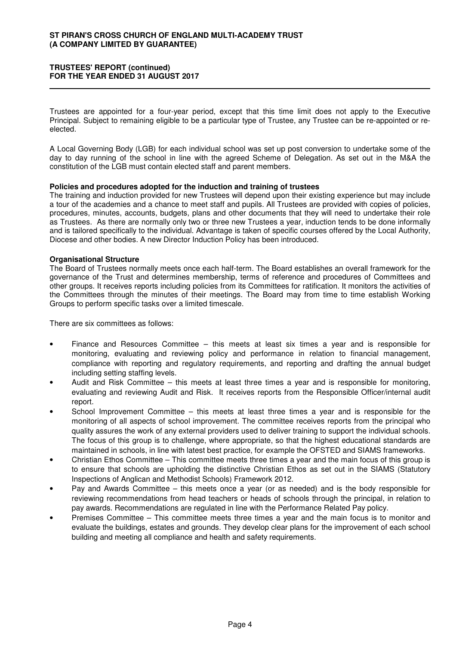#### **TRUSTEES' REPORT (continued) FOR THE YEAR ENDED 31 AUGUST 2017**

Trustees are appointed for a four-year period, except that this time limit does not apply to the Executive Principal. Subject to remaining eligible to be a particular type of Trustee, any Trustee can be re-appointed or reelected.

A Local Governing Body (LGB) for each individual school was set up post conversion to undertake some of the day to day running of the school in line with the agreed Scheme of Delegation. As set out in the M&A the constitution of the LGB must contain elected staff and parent members.

#### **Policies and procedures adopted for the induction and training of trustees**

The training and induction provided for new Trustees will depend upon their existing experience but may include a tour of the academies and a chance to meet staff and pupils. All Trustees are provided with copies of policies, procedures, minutes, accounts, budgets, plans and other documents that they will need to undertake their role as Trustees. As there are normally only two or three new Trustees a year, induction tends to be done informally and is tailored specifically to the individual. Advantage is taken of specific courses offered by the Local Authority, Diocese and other bodies. A new Director Induction Policy has been introduced.

#### **Organisational Structure**

The Board of Trustees normally meets once each half-term. The Board establishes an overall framework for the governance of the Trust and determines membership, terms of reference and procedures of Committees and other groups. It receives reports including policies from its Committees for ratification. It monitors the activities of the Committees through the minutes of their meetings. The Board may from time to time establish Working Groups to perform specific tasks over a limited timescale.

There are six committees as follows:

- Finance and Resources Committee this meets at least six times a year and is responsible for monitoring, evaluating and reviewing policy and performance in relation to financial management, compliance with reporting and regulatory requirements, and reporting and drafting the annual budget including setting staffing levels.
- Audit and Risk Committee this meets at least three times a year and is responsible for monitoring, evaluating and reviewing Audit and Risk. It receives reports from the Responsible Officer/internal audit report.
- School Improvement Committee this meets at least three times a year and is responsible for the monitoring of all aspects of school improvement. The committee receives reports from the principal who quality assures the work of any external providers used to deliver training to support the individual schools. The focus of this group is to challenge, where appropriate, so that the highest educational standards are maintained in schools, in line with latest best practice, for example the OFSTED and SIAMS frameworks.
- Christian Ethos Committee This committee meets three times a year and the main focus of this group is to ensure that schools are upholding the distinctive Christian Ethos as set out in the SIAMS (Statutory Inspections of Anglican and Methodist Schools) Framework 2012.
- Pay and Awards Committee this meets once a year (or as needed) and is the body responsible for reviewing recommendations from head teachers or heads of schools through the principal, in relation to pay awards. Recommendations are regulated in line with the Performance Related Pay policy.
- Premises Committee This committee meets three times a year and the main focus is to monitor and evaluate the buildings, estates and grounds. They develop clear plans for the improvement of each school building and meeting all compliance and health and safety requirements.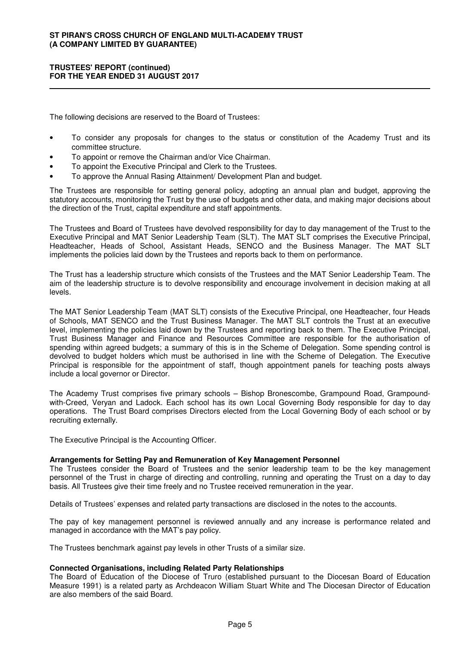#### **TRUSTEES' REPORT (continued) FOR THE YEAR ENDED 31 AUGUST 2017**

The following decisions are reserved to the Board of Trustees:

- To consider any proposals for changes to the status or constitution of the Academy Trust and its committee structure.
- To appoint or remove the Chairman and/or Vice Chairman.
- To appoint the Executive Principal and Clerk to the Trustees.
- To approve the Annual Rasing Attainment/ Development Plan and budget.

The Trustees are responsible for setting general policy, adopting an annual plan and budget, approving the statutory accounts, monitoring the Trust by the use of budgets and other data, and making major decisions about the direction of the Trust, capital expenditure and staff appointments.

The Trustees and Board of Trustees have devolved responsibility for day to day management of the Trust to the Executive Principal and MAT Senior Leadership Team (SLT). The MAT SLT comprises the Executive Principal, Headteacher, Heads of School, Assistant Heads, SENCO and the Business Manager. The MAT SLT implements the policies laid down by the Trustees and reports back to them on performance.

The Trust has a leadership structure which consists of the Trustees and the MAT Senior Leadership Team. The aim of the leadership structure is to devolve responsibility and encourage involvement in decision making at all levels.

The MAT Senior Leadership Team (MAT SLT) consists of the Executive Principal, one Headteacher, four Heads of Schools, MAT SENCO and the Trust Business Manager. The MAT SLT controls the Trust at an executive level, implementing the policies laid down by the Trustees and reporting back to them. The Executive Principal, Trust Business Manager and Finance and Resources Committee are responsible for the authorisation of spending within agreed budgets; a summary of this is in the Scheme of Delegation. Some spending control is devolved to budget holders which must be authorised in line with the Scheme of Delegation. The Executive Principal is responsible for the appointment of staff, though appointment panels for teaching posts always include a local governor or Director.

The Academy Trust comprises five primary schools – Bishop Bronescombe, Grampound Road, Grampoundwith-Creed, Veryan and Ladock. Each school has its own Local Governing Body responsible for day to day operations. The Trust Board comprises Directors elected from the Local Governing Body of each school or by recruiting externally.

The Executive Principal is the Accounting Officer.

#### **Arrangements for Setting Pay and Remuneration of Key Management Personnel**

The Trustees consider the Board of Trustees and the senior leadership team to be the key management personnel of the Trust in charge of directing and controlling, running and operating the Trust on a day to day basis. All Trustees give their time freely and no Trustee received remuneration in the year.

Details of Trustees' expenses and related party transactions are disclosed in the notes to the accounts.

The pay of key management personnel is reviewed annually and any increase is performance related and managed in accordance with the MAT's pay policy.

The Trustees benchmark against pay levels in other Trusts of a similar size.

#### **Connected Organisations, including Related Party Relationships**

The Board of Education of the Diocese of Truro (established pursuant to the Diocesan Board of Education Measure 1991) is a related party as Archdeacon William Stuart White and The Diocesan Director of Education are also members of the said Board.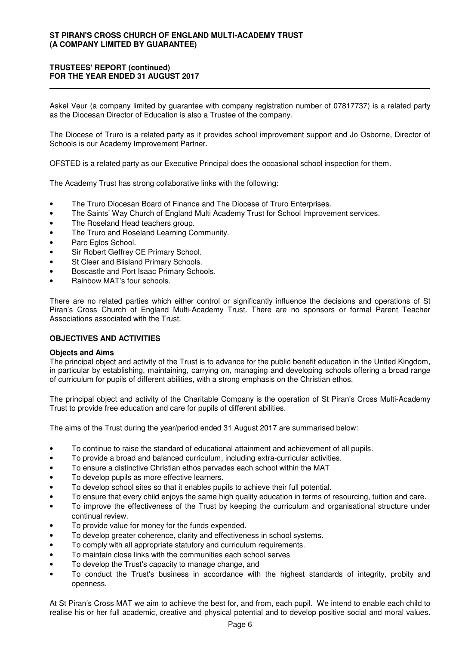## **TRUSTEES' REPORT (continued) FOR THE YEAR ENDED 31 AUGUST 2017**

Askel Veur (a company limited by guarantee with company registration number of 07817737) is a related party as the Diocesan Director of Education is also a Trustee of the company.

The Diocese of Truro is a related party as it provides school improvement support and Jo Osborne, Director of Schools is our Academy Improvement Partner.

OFSTED is a related party as our Executive Principal does the occasional school inspection for them.

The Academy Trust has strong collaborative links with the following:

- The Truro Diocesan Board of Finance and The Diocese of Truro Enterprises.
- The Saints' Way Church of England Multi Academy Trust for School Improvement services.
- The Roseland Head teachers group.
- The Truro and Roseland Learning Community.
- Parc Eglos School.
- Sir Robert Geffrey CE Primary School.
- St Cleer and Blisland Primary Schools.
- Boscastle and Port Isaac Primary Schools.
- Rainbow MAT's four schools.

There are no related parties which either control or significantly influence the decisions and operations of St Piran's Cross Church of England Multi-Academy Trust. There are no sponsors or formal Parent Teacher Associations associated with the Trust.

## **OBJECTIVES AND ACTIVITIES**

#### **Objects and Aims**

The principal object and activity of the Trust is to advance for the public benefit education in the United Kingdom, in particular by establishing, maintaining, carrying on, managing and developing schools offering a broad range of curriculum for pupils of different abilities, with a strong emphasis on the Christian ethos.

The principal object and activity of the Charitable Company is the operation of St Piran's Cross Multi-Academy Trust to provide free education and care for pupils of different abilities.

The aims of the Trust during the year/period ended 31 August 2017 are summarised below:

- To continue to raise the standard of educational attainment and achievement of all pupils.
- To provide a broad and balanced curriculum, including extra-curricular activities.
- To ensure a distinctive Christian ethos pervades each school within the MAT
- To develop pupils as more effective learners.
- To develop school sites so that it enables pupils to achieve their full potential.
- To ensure that every child enjoys the same high quality education in terms of resourcing, tuition and care.
- To improve the effectiveness of the Trust by keeping the curriculum and organisational structure under continual review.
- To provide value for money for the funds expended.
- To develop greater coherence, clarity and effectiveness in school systems.
- To comply with all appropriate statutory and curriculum requirements.
- To maintain close links with the communities each school serves
- To develop the Trust's capacity to manage change, and
- To conduct the Trust's business in accordance with the highest standards of integrity, probity and openness.

At St Piran's Cross MAT we aim to achieve the best for, and from, each pupil. We intend to enable each child to realise his or her full academic, creative and physical potential and to develop positive social and moral values.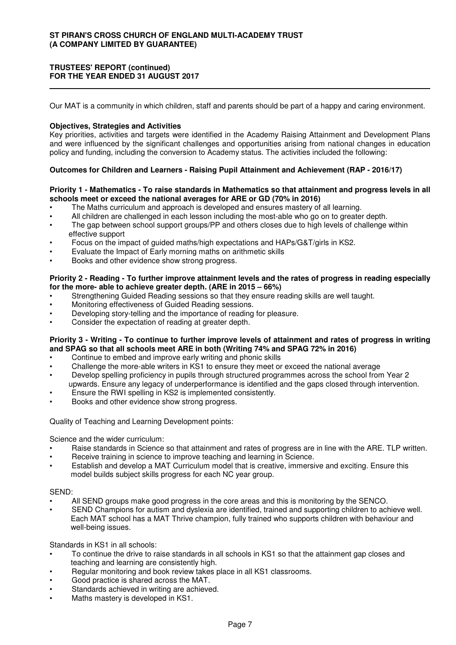## **TRUSTEES' REPORT (continued) FOR THE YEAR ENDED 31 AUGUST 2017**

Our MAT is a community in which children, staff and parents should be part of a happy and caring environment.

## **Objectives, Strategies and Activities**

Key priorities, activities and targets were identified in the Academy Raising Attainment and Development Plans and were influenced by the significant challenges and opportunities arising from national changes in education policy and funding, including the conversion to Academy status. The activities included the following:

## **Outcomes for Children and Learners - Raising Pupil Attainment and Achievement (RAP - 2016/17)**

## **Priority 1 - Mathematics - To raise standards in Mathematics so that attainment and progress levels in all schools meet or exceed the national averages for ARE or GD (70% in 2016)**

- The Maths curriculum and approach is developed and ensures mastery of all learning.
- All children are challenged in each lesson including the most-able who go on to greater depth.
- The gap between school support groups/PP and others closes due to high levels of challenge within effective support
- Focus on the impact of guided maths/high expectations and HAPs/G&T/girls in KS2.
- Evaluate the Impact of Early morning maths on arithmetic skills
- Books and other evidence show strong progress.

## **Priority 2 - Reading - To further improve attainment levels and the rates of progress in reading especially for the more- able to achieve greater depth. (ARE in 2015 – 66%)**

- Strengthening Guided Reading sessions so that they ensure reading skills are well taught.
- Monitoring effectiveness of Guided Reading sessions.
- Developing story-telling and the importance of reading for pleasure.
- Consider the expectation of reading at greater depth.

## **Priority 3 - Writing - To continue to further improve levels of attainment and rates of progress in writing and SPAG so that all schools meet ARE in both (Writing 74% and SPAG 72% in 2016)**

- Continue to embed and improve early writing and phonic skills
- Challenge the more-able writers in KS1 to ensure they meet or exceed the national average
- Develop spelling proficiency in pupils through structured programmes across the school from Year 2 upwards. Ensure any legacy of underperformance is identified and the gaps closed through intervention.
- Ensure the RWI spelling in KS2 is implemented consistently.
- Books and other evidence show strong progress.

Quality of Teaching and Learning Development points:

Science and the wider curriculum:

- Raise standards in Science so that attainment and rates of progress are in line with the ARE. TLP written.
- Receive training in science to improve teaching and learning in Science.
- Establish and develop a MAT Curriculum model that is creative, immersive and exciting. Ensure this model builds subject skills progress for each NC year group.

## SEND:

- All SEND groups make good progress in the core areas and this is monitoring by the SENCO.
- SEND Champions for autism and dyslexia are identified, trained and supporting children to achieve well. Each MAT school has a MAT Thrive champion, fully trained who supports children with behaviour and well-being issues.

Standards in KS1 in all schools:

- To continue the drive to raise standards in all schools in KS1 so that the attainment gap closes and teaching and learning are consistently high.
- Regular monitoring and book review takes place in all KS1 classrooms.
- Good practice is shared across the MAT.
- Standards achieved in writing are achieved.
- Maths mastery is developed in KS1.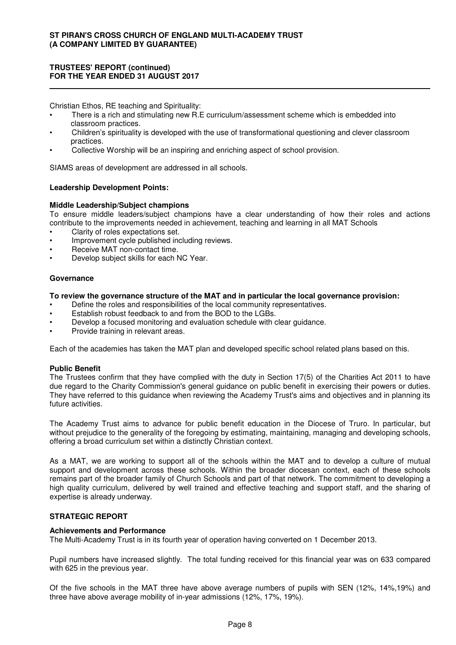## **TRUSTEES' REPORT (continued) FOR THE YEAR ENDED 31 AUGUST 2017**

Christian Ethos, RE teaching and Spirituality:

- There is a rich and stimulating new R.E curriculum/assessment scheme which is embedded into classroom practices.
- Children's spirituality is developed with the use of transformational questioning and clever classroom practices.
- Collective Worship will be an inspiring and enriching aspect of school provision.

SIAMS areas of development are addressed in all schools.

## **Leadership Development Points:**

#### **Middle Leadership/Subject champions**

To ensure middle leaders/subject champions have a clear understanding of how their roles and actions contribute to the improvements needed in achievement, teaching and learning in all MAT Schools

- Clarity of roles expectations set.
- Improvement cycle published including reviews.
- Receive MAT non-contact time.
- Develop subject skills for each NC Year.

#### **Governance**

#### **To review the governance structure of the MAT and in particular the local governance provision:**

- Define the roles and responsibilities of the local community representatives.
- Establish robust feedback to and from the BOD to the LGBs.
- Develop a focused monitoring and evaluation schedule with clear guidance.
- Provide training in relevant areas.

Each of the academies has taken the MAT plan and developed specific school related plans based on this.

#### **Public Benefit**

The Trustees confirm that they have complied with the duty in Section 17(5) of the Charities Act 2011 to have due regard to the Charity Commission's general guidance on public benefit in exercising their powers or duties. They have referred to this guidance when reviewing the Academy Trust's aims and objectives and in planning its future activities.

The Academy Trust aims to advance for public benefit education in the Diocese of Truro. In particular, but without prejudice to the generality of the foregoing by estimating, maintaining, managing and developing schools, offering a broad curriculum set within a distinctly Christian context.

As a MAT, we are working to support all of the schools within the MAT and to develop a culture of mutual support and development across these schools. Within the broader diocesan context, each of these schools remains part of the broader family of Church Schools and part of that network. The commitment to developing a high quality curriculum, delivered by well trained and effective teaching and support staff, and the sharing of expertise is already underway.

## **STRATEGIC REPORT**

#### **Achievements and Performance**

The Multi-Academy Trust is in its fourth year of operation having converted on 1 December 2013.

Pupil numbers have increased slightly. The total funding received for this financial year was on 633 compared with 625 in the previous year.

Of the five schools in the MAT three have above average numbers of pupils with SEN (12%, 14%,19%) and three have above average mobility of in-year admissions (12%, 17%, 19%).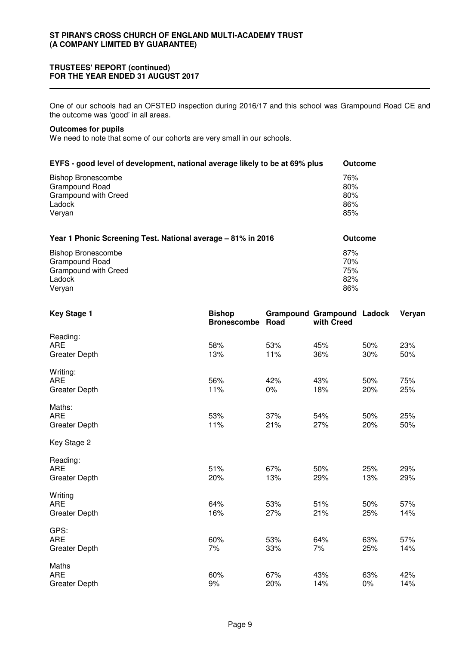#### **TRUSTEES' REPORT (continued) FOR THE YEAR ENDED 31 AUGUST 2017**

One of our schools had an OFSTED inspection during 2016/17 and this school was Grampound Road CE and the outcome was 'good' in all areas.

### **Outcomes for pupils**

We need to note that some of our cohorts are very small in our schools.

| EYFS - good level of development, national average likely to be at 69% plus | <b>Outcome</b> |
|-----------------------------------------------------------------------------|----------------|
| <b>Bishop Bronescombe</b>                                                   | 76%            |
| Grampound Road                                                              | 80%            |
| Grampound with Creed                                                        | 80%            |
| Ladock                                                                      | 86%            |
| Veryan                                                                      | 85%            |
| Year 1 Phonic Screening Test. National average - 81% in 2016                | <b>Outcome</b> |
| <b>Bishop Bronescombe</b>                                                   | 87%            |
| Grampound Road                                                              | 70%            |
| Grampound with Creed                                                        | 75%            |
| Ladock                                                                      | 82%            |

Veryan 86%

| <b>Key Stage 1</b>                             | <b>Bishop</b><br><b>Bronescombe</b> | Road         | <b>Grampound Grampound Ladock</b><br>with Creed |            | Veryan     |
|------------------------------------------------|-------------------------------------|--------------|-------------------------------------------------|------------|------------|
| Reading:<br><b>ARE</b><br><b>Greater Depth</b> | 58%<br>13%                          | 53%<br>11%   | 45%<br>36%                                      | 50%<br>30% | 23%<br>50% |
| Writing:<br><b>ARE</b><br><b>Greater Depth</b> | 56%<br>11%                          | 42%<br>$0\%$ | 43%<br>18%                                      | 50%<br>20% | 75%<br>25% |
| Maths:<br><b>ARE</b><br><b>Greater Depth</b>   | 53%<br>11%                          | 37%<br>21%   | 54%<br>27%                                      | 50%<br>20% | 25%<br>50% |
| Key Stage 2                                    |                                     |              |                                                 |            |            |
| Reading:<br><b>ARE</b><br><b>Greater Depth</b> | 51%<br>20%                          | 67%<br>13%   | 50%<br>29%                                      | 25%<br>13% | 29%<br>29% |
| Writing<br><b>ARE</b><br><b>Greater Depth</b>  | 64%<br>16%                          | 53%<br>27%   | 51%<br>21%                                      | 50%<br>25% | 57%<br>14% |
| GPS:<br><b>ARE</b><br><b>Greater Depth</b>     | 60%<br>7%                           | 53%<br>33%   | 64%<br>7%                                       | 63%<br>25% | 57%<br>14% |
| Maths<br><b>ARE</b><br><b>Greater Depth</b>    | 60%<br>9%                           | 67%<br>20%   | 43%<br>14%                                      | 63%<br>0%  | 42%<br>14% |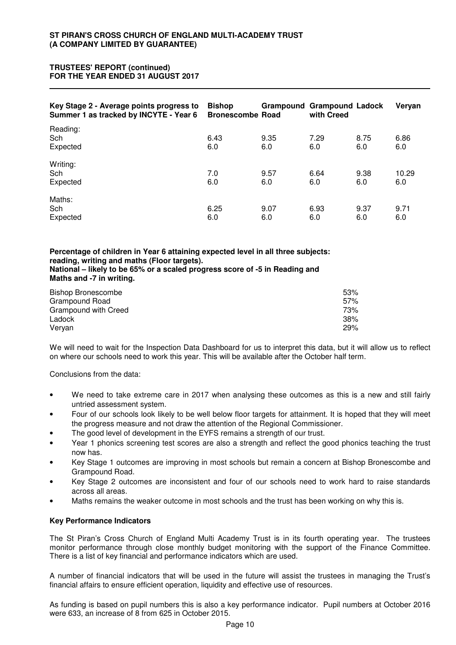## **TRUSTEES' REPORT (continued) FOR THE YEAR ENDED 31 AUGUST 2017**

| Key Stage 2 - Average points progress to<br>Summer 1 as tracked by INCYTE - Year 6 | <b>Bishop</b><br><b>Bronescombe Road</b> | <b>Grampound Grampound Ladock</b> | with Creed  |             | Veryan       |
|------------------------------------------------------------------------------------|------------------------------------------|-----------------------------------|-------------|-------------|--------------|
| Reading:<br>Sch<br>Expected                                                        | 6.43<br>6.0                              | 9.35<br>6.0                       | 7.29<br>6.0 | 8.75<br>6.0 | 6.86<br>6.0  |
| Writing:<br>Sch<br>Expected                                                        | 7.0<br>6.0                               | 9.57<br>6.0                       | 6.64<br>6.0 | 9.38<br>6.0 | 10.29<br>6.0 |
| Maths:<br>Sch<br>Expected                                                          | 6.25<br>6.0                              | 9.07<br>6.0                       | 6.93<br>6.0 | 9.37<br>6.0 | 9.71<br>6.0  |

**Percentage of children in Year 6 attaining expected level in all three subjects: reading, writing and maths (Floor targets). National – likely to be 65% or a scaled progress score of -5 in Reading and Maths and -7 in writing.**

| <b>Bishop Bronescombe</b> | 53% |
|---------------------------|-----|
| Grampound Road            | 57% |
| Grampound with Creed      | 73% |
| Ladock                    | 38% |
| Veryan                    | 29% |

We will need to wait for the Inspection Data Dashboard for us to interpret this data, but it will allow us to reflect on where our schools need to work this year. This will be available after the October half term.

Conclusions from the data:

- We need to take extreme care in 2017 when analysing these outcomes as this is a new and still fairly untried assessment system.
- Four of our schools look likely to be well below floor targets for attainment. It is hoped that they will meet the progress measure and not draw the attention of the Regional Commissioner.
- The good level of development in the EYFS remains a strength of our trust.
- Year 1 phonics screening test scores are also a strength and reflect the good phonics teaching the trust now has.
- Key Stage 1 outcomes are improving in most schools but remain a concern at Bishop Bronescombe and Grampound Road.
- Key Stage 2 outcomes are inconsistent and four of our schools need to work hard to raise standards across all areas.
- Maths remains the weaker outcome in most schools and the trust has been working on why this is.

## **Key Performance Indicators**

The St Piran's Cross Church of England Multi Academy Trust is in its fourth operating year. The trustees monitor performance through close monthly budget monitoring with the support of the Finance Committee. There is a list of key financial and performance indicators which are used.

A number of financial indicators that will be used in the future will assist the trustees in managing the Trust's financial affairs to ensure efficient operation, liquidity and effective use of resources.

As funding is based on pupil numbers this is also a key performance indicator. Pupil numbers at October 2016 were 633, an increase of 8 from 625 in October 2015.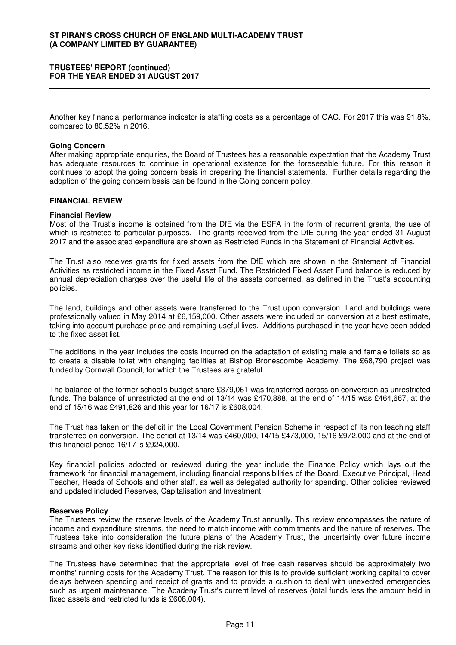#### **TRUSTEES' REPORT (continued) FOR THE YEAR ENDED 31 AUGUST 2017**

Another key financial performance indicator is staffing costs as a percentage of GAG. For 2017 this was 91.8%, compared to 80.52% in 2016.

#### **Going Concern**

After making appropriate enquiries, the Board of Trustees has a reasonable expectation that the Academy Trust has adequate resources to continue in operational existence for the foreseeable future. For this reason it continues to adopt the going concern basis in preparing the financial statements. Further details regarding the adoption of the going concern basis can be found in the Going concern policy.

#### **FINANCIAL REVIEW**

#### **Financial Review**

Most of the Trust's income is obtained from the DfE via the ESFA in the form of recurrent grants, the use of which is restricted to particular purposes. The grants received from the DfE during the year ended 31 August 2017 and the associated expenditure are shown as Restricted Funds in the Statement of Financial Activities.

The Trust also receives grants for fixed assets from the DfE which are shown in the Statement of Financial Activities as restricted income in the Fixed Asset Fund. The Restricted Fixed Asset Fund balance is reduced by annual depreciation charges over the useful life of the assets concerned, as defined in the Trust's accounting policies.

The land, buildings and other assets were transferred to the Trust upon conversion. Land and buildings were professionally valued in May 2014 at £6,159,000. Other assets were included on conversion at a best estimate, taking into account purchase price and remaining useful lives. Additions purchased in the year have been added to the fixed asset list.

The additions in the year includes the costs incurred on the adaptation of existing male and female toilets so as to create a disable toilet with changing facilities at Bishop Bronescombe Academy. The £68,790 project was funded by Cornwall Council, for which the Trustees are grateful.

The balance of the former school's budget share £379,061 was transferred across on conversion as unrestricted funds. The balance of unrestricted at the end of 13/14 was £470,888, at the end of 14/15 was £464,667, at the end of 15/16 was £491,826 and this year for 16/17 is £608,004.

The Trust has taken on the deficit in the Local Government Pension Scheme in respect of its non teaching staff transferred on conversion. The deficit at 13/14 was £460,000, 14/15 £473,000, 15/16 £972,000 and at the end of this financial period 16/17 is £924,000.

Key financial policies adopted or reviewed during the year include the Finance Policy which lays out the framework for financial management, including financial responsibilities of the Board, Executive Principal, Head Teacher, Heads of Schools and other staff, as well as delegated authority for spending. Other policies reviewed and updated included Reserves, Capitalisation and Investment.

#### **Reserves Policy**

The Trustees review the reserve levels of the Academy Trust annually. This review encompasses the nature of income and expenditure streams, the need to match income with commitments and the nature of reserves. The Trustees take into consideration the future plans of the Academy Trust, the uncertainty over future income streams and other key risks identified during the risk review.

The Trustees have determined that the appropriate level of free cash reserves should be approximately two months' running costs for the Academy Trust. The reason for this is to provide sufficient working capital to cover delays between spending and receipt of grants and to provide a cushion to deal with unexected emergencies such as urgent maintenance. The Acadeny Trust's current level of reserves (total funds less the amount held in fixed assets and restricted funds is £608,004).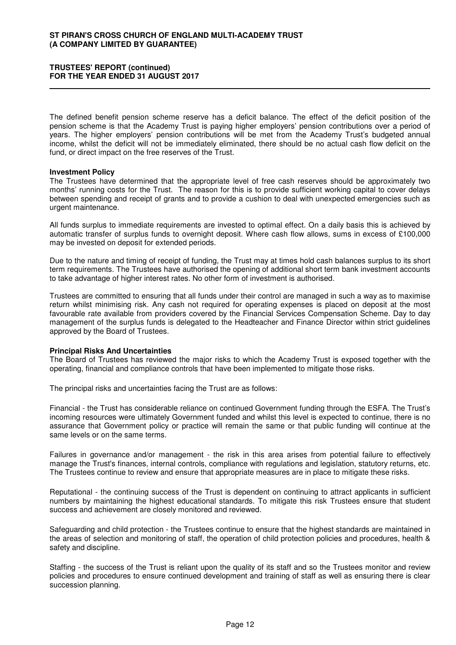#### **TRUSTEES' REPORT (continued) FOR THE YEAR ENDED 31 AUGUST 2017**

The defined benefit pension scheme reserve has a deficit balance. The effect of the deficit position of the pension scheme is that the Academy Trust is paying higher employers' pension contributions over a period of years. The higher employers' pension contributions will be met from the Academy Trust's budgeted annual income, whilst the deficit will not be immediately eliminated, there should be no actual cash flow deficit on the fund, or direct impact on the free reserves of the Trust.

#### **Investment Policy**

The Trustees have determined that the appropriate level of free cash reserves should be approximately two months' running costs for the Trust. The reason for this is to provide sufficient working capital to cover delays between spending and receipt of grants and to provide a cushion to deal with unexpected emergencies such as urgent maintenance.

All funds surplus to immediate requirements are invested to optimal effect. On a daily basis this is achieved by automatic transfer of surplus funds to overnight deposit. Where cash flow allows, sums in excess of £100,000 may be invested on deposit for extended periods.

Due to the nature and timing of receipt of funding, the Trust may at times hold cash balances surplus to its short term requirements. The Trustees have authorised the opening of additional short term bank investment accounts to take advantage of higher interest rates. No other form of investment is authorised.

Trustees are committed to ensuring that all funds under their control are managed in such a way as to maximise return whilst minimising risk. Any cash not required for operating expenses is placed on deposit at the most favourable rate available from providers covered by the Financial Services Compensation Scheme. Day to day management of the surplus funds is delegated to the Headteacher and Finance Director within strict guidelines approved by the Board of Trustees.

#### **Principal Risks And Uncertainties**

The Board of Trustees has reviewed the major risks to which the Academy Trust is exposed together with the operating, financial and compliance controls that have been implemented to mitigate those risks.

The principal risks and uncertainties facing the Trust are as follows:

Financial - the Trust has considerable reliance on continued Government funding through the ESFA. The Trust's incoming resources were ultimately Government funded and whilst this level is expected to continue, there is no assurance that Government policy or practice will remain the same or that public funding will continue at the same levels or on the same terms.

Failures in governance and/or management - the risk in this area arises from potential failure to effectively manage the Trust's finances, internal controls, compliance with regulations and legislation, statutory returns, etc. The Trustees continue to review and ensure that appropriate measures are in place to mitigate these risks.

Reputational - the continuing success of the Trust is dependent on continuing to attract applicants in sufficient numbers by maintaining the highest educational standards. To mitigate this risk Trustees ensure that student success and achievement are closely monitored and reviewed.

Safeguarding and child protection - the Trustees continue to ensure that the highest standards are maintained in the areas of selection and monitoring of staff, the operation of child protection policies and procedures, health & safety and discipline.

Staffing - the success of the Trust is reliant upon the quality of its staff and so the Trustees monitor and review policies and procedures to ensure continued development and training of staff as well as ensuring there is clear succession planning.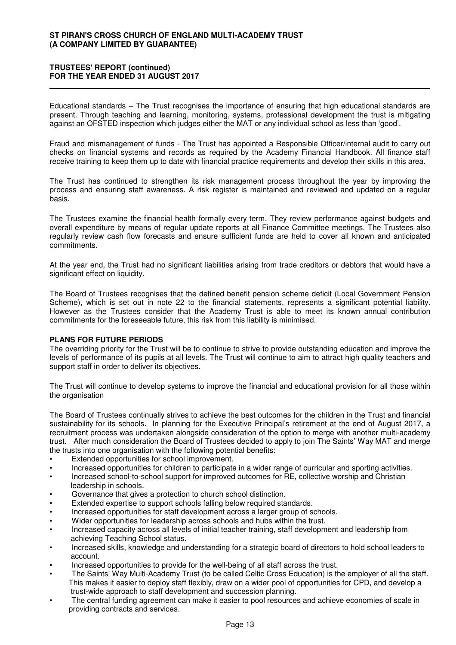#### **TRUSTEES' REPORT (continued) FOR THE YEAR ENDED 31 AUGUST 2017**

Educational standards – The Trust recognises the importance of ensuring that high educational standards are present. Through teaching and learning, monitoring, systems, professional development the trust is mitigating against an OFSTED inspection which judges either the MAT or any individual school as less than 'good'.

Fraud and mismanagement of funds - The Trust has appointed a Responsible Officer/internal audit to carry out checks on financial systems and records as required by the Academy Financial Handbook. All finance staff receive training to keep them up to date with financial practice requirements and develop their skills in this area.

The Trust has continued to strengthen its risk management process throughout the year by improving the process and ensuring staff awareness. A risk register is maintained and reviewed and updated on a regular basis.

The Trustees examine the financial health formally every term. They review performance against budgets and overall expenditure by means of regular update reports at all Finance Committee meetings. The Trustees also regularly review cash flow forecasts and ensure sufficient funds are held to cover all known and anticipated commitments.

At the year end, the Trust had no significant liabilities arising from trade creditors or debtors that would have a significant effect on liquidity.

The Board of Trustees recognises that the defined benefit pension scheme deficit (Local Government Pension Scheme), which is set out in note 22 to the financial statements, represents a significant potential liability. However as the Trustees consider that the Academy Trust is able to meet its known annual contribution commitments for the foreseeable future, this risk from this liability is minimised.

## **PLANS FOR FUTURE PERIODS**

The overriding priority for the Trust will be to continue to strive to provide outstanding education and improve the levels of performance of its pupils at all levels. The Trust will continue to aim to attract high quality teachers and support staff in order to deliver its objectives.

The Trust will continue to develop systems to improve the financial and educational provision for all those within the organisation

The Board of Trustees continually strives to achieve the best outcomes for the children in the Trust and financial sustainability for its schools. In planning for the Executive Principal's retirement at the end of August 2017, a recruitment process was undertaken alongside consideration of the option to merge with another multi-academy trust. After much consideration the Board of Trustees decided to apply to join The Saints' Way MAT and merge the trusts into one organisation with the following potential benefits:

- Extended opportunities for school improvement.
- Increased opportunities for children to participate in a wider range of curricular and sporting activities.
- Increased school-to-school support for improved outcomes for RE, collective worship and Christian leadership in schools.
- Governance that gives a protection to church school distinction.
- Extended expertise to support schools falling below required standards.
- Increased opportunities for staff development across a larger group of schools.
- Wider opportunities for leadership across schools and hubs within the trust.
- Increased capacity across all levels of initial teacher training, staff development and leadership from achieving Teaching School status.
- Increased skills, knowledge and understanding for a strategic board of directors to hold school leaders to account.
- Increased opportunities to provide for the well-being of all staff across the trust.
- The Saints' Way Multi-Academy Trust (to be called Celtic Cross Education) is the employer of all the staff. This makes it easier to deploy staff flexibly, draw on a wider pool of opportunities for CPD, and develop a trust-wide approach to staff development and succession planning.
- The central funding agreement can make it easier to pool resources and achieve economies of scale in providing contracts and services.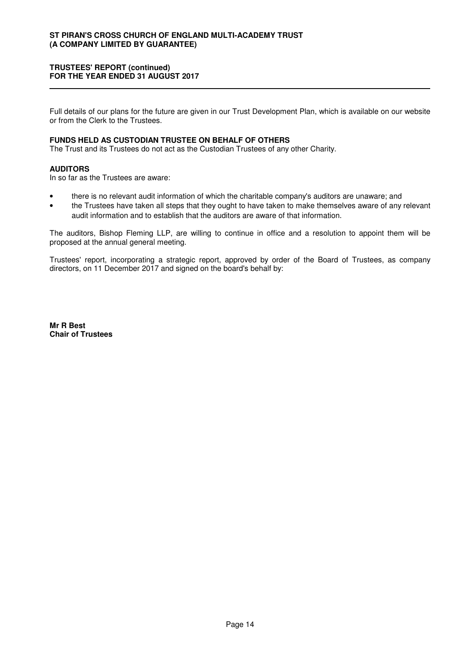## **TRUSTEES' REPORT (continued) FOR THE YEAR ENDED 31 AUGUST 2017**

Full details of our plans for the future are given in our Trust Development Plan, which is available on our website or from the Clerk to the Trustees.

#### **FUNDS HELD AS CUSTODIAN TRUSTEE ON BEHALF OF OTHERS**

The Trust and its Trustees do not act as the Custodian Trustees of any other Charity.

#### **AUDITORS**

In so far as the Trustees are aware:

- there is no relevant audit information of which the charitable company's auditors are unaware; and
- the Trustees have taken all steps that they ought to have taken to make themselves aware of any relevant audit information and to establish that the auditors are aware of that information.

The auditors, Bishop Fleming LLP, are willing to continue in office and a resolution to appoint them will be proposed at the annual general meeting.

Trustees' report, incorporating a strategic report, approved by order of the Board of Trustees, as company directors, on 11 December 2017 and signed on the board's behalf by:

**Mr R Best Chair of Trustees**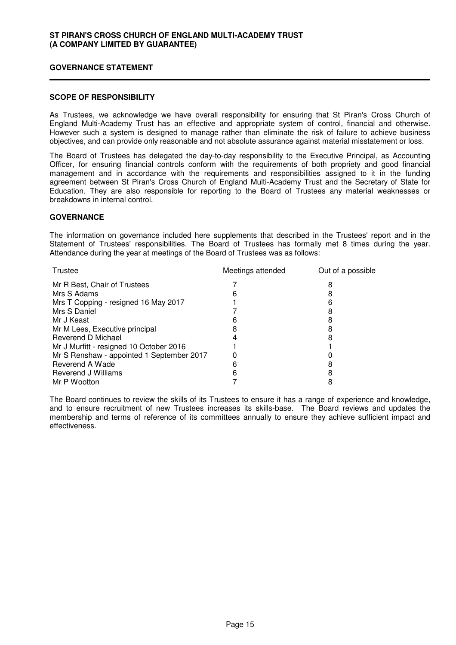#### **GOVERNANCE STATEMENT**

#### **SCOPE OF RESPONSIBILITY**

As Trustees, we acknowledge we have overall responsibility for ensuring that St Piran's Cross Church of England Multi-Academy Trust has an effective and appropriate system of control, financial and otherwise. However such a system is designed to manage rather than eliminate the risk of failure to achieve business objectives, and can provide only reasonable and not absolute assurance against material misstatement or loss.

The Board of Trustees has delegated the day-to-day responsibility to the Executive Principal, as Accounting Officer, for ensuring financial controls conform with the requirements of both propriety and good financial management and in accordance with the requirements and responsibilities assigned to it in the funding agreement between St Piran's Cross Church of England Multi-Academy Trust and the Secretary of State for Education. They are also responsible for reporting to the Board of Trustees any material weaknesses or breakdowns in internal control.

#### **GOVERNANCE**

The information on governance included here supplements that described in the Trustees' report and in the Statement of Trustees' responsibilities. The Board of Trustees has formally met 8 times during the year. Attendance during the year at meetings of the Board of Trustees was as follows:

| Trustee                                   | Meetings attended | Out of a possible |
|-------------------------------------------|-------------------|-------------------|
| Mr R Best, Chair of Trustees              |                   | 8                 |
| Mrs S Adams                               |                   |                   |
| Mrs T Copping - resigned 16 May 2017      |                   |                   |
| Mrs S Daniel                              |                   |                   |
| Mr J Keast                                | n                 | 8                 |
| Mr M Lees, Executive principal            | 8                 |                   |
| Reverend D Michael                        |                   |                   |
| Mr J Murfitt - resigned 10 October 2016   |                   |                   |
| Mr S Renshaw - appointed 1 September 2017 |                   |                   |
| Reverend A Wade                           |                   |                   |
| Reverend J Williams                       |                   |                   |
| Mr P Wootton                              |                   |                   |

The Board continues to review the skills of its Trustees to ensure it has a range of experience and knowledge, and to ensure recruitment of new Trustees increases its skills-base. The Board reviews and updates the membership and terms of reference of its committees annually to ensure they achieve sufficient impact and effectiveness.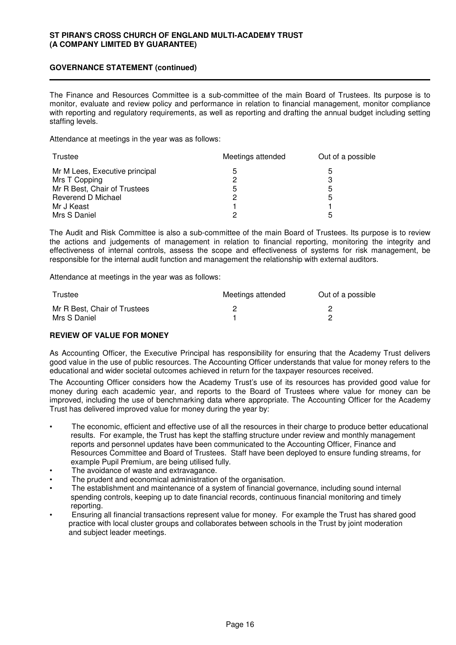## **GOVERNANCE STATEMENT (continued)**

The Finance and Resources Committee is a sub-committee of the main Board of Trustees. Its purpose is to monitor, evaluate and review policy and performance in relation to financial management, monitor compliance with reporting and regulatory requirements, as well as reporting and drafting the annual budget including setting staffing levels.

Attendance at meetings in the year was as follows:

| Trustee                        | Meetings attended | Out of a possible |
|--------------------------------|-------------------|-------------------|
| Mr M Lees, Executive principal | 5                 | b                 |
| Mrs T Copping                  |                   |                   |
| Mr R Best, Chair of Trustees   | 5                 | 5                 |
| Reverend D Michael             |                   | 5                 |
| Mr J Keast                     |                   |                   |
| Mrs S Daniel                   |                   | h                 |

The Audit and Risk Committee is also a sub-committee of the main Board of Trustees. Its purpose is to review the actions and judgements of management in relation to financial reporting, monitoring the integrity and effectiveness of internal controls, assess the scope and effectiveness of systems for risk management, be responsible for the internal audit function and management the relationship with external auditors.

Attendance at meetings in the year was as follows:

| Trustee                      | Meetings attended | Out of a possible |
|------------------------------|-------------------|-------------------|
| Mr R Best, Chair of Trustees |                   |                   |
| Mrs S Daniel                 |                   |                   |

## **REVIEW OF VALUE FOR MONEY**

As Accounting Officer, the Executive Principal has responsibility for ensuring that the Academy Trust delivers good value in the use of public resources. The Accounting Officer understands that value for money refers to the educational and wider societal outcomes achieved in return for the taxpayer resources received.

The Accounting Officer considers how the Academy Trust's use of its resources has provided good value for money during each academic year, and reports to the Board of Trustees where value for money can be improved, including the use of benchmarking data where appropriate. The Accounting Officer for the Academy Trust has delivered improved value for money during the year by:

- The economic, efficient and effective use of all the resources in their charge to produce better educational results. For example, the Trust has kept the staffing structure under review and monthly management reports and personnel updates have been communicated to the Accounting Officer, Finance and Resources Committee and Board of Trustees. Staff have been deployed to ensure funding streams, for example Pupil Premium, are being utilised fully.
- The avoidance of waste and extravagance.
- The prudent and economical administration of the organisation.
- The establishment and maintenance of a system of financial governance, including sound internal spending controls, keeping up to date financial records, continuous financial monitoring and timely reporting.
- Ensuring all financial transactions represent value for money. For example the Trust has shared good practice with local cluster groups and collaborates between schools in the Trust by joint moderation and subject leader meetings.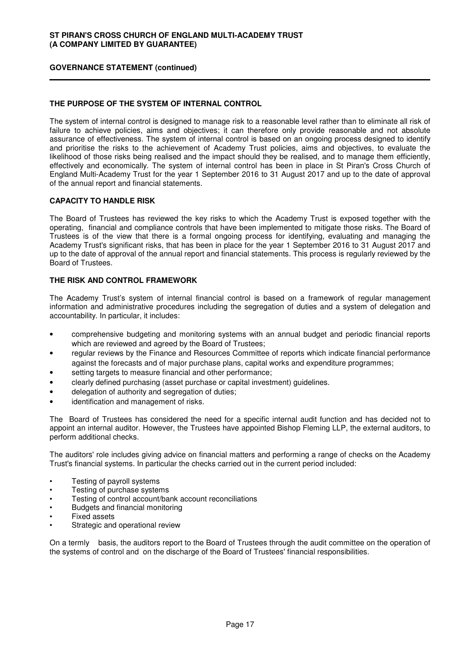## **GOVERNANCE STATEMENT (continued)**

## **THE PURPOSE OF THE SYSTEM OF INTERNAL CONTROL**

The system of internal control is designed to manage risk to a reasonable level rather than to eliminate all risk of failure to achieve policies, aims and objectives; it can therefore only provide reasonable and not absolute assurance of effectiveness. The system of internal control is based on an ongoing process designed to identify and prioritise the risks to the achievement of Academy Trust policies, aims and objectives, to evaluate the likelihood of those risks being realised and the impact should they be realised, and to manage them efficiently, effectively and economically. The system of internal control has been in place in St Piran's Cross Church of England Multi-Academy Trust for the year 1 September 2016 to 31 August 2017 and up to the date of approval of the annual report and financial statements.

#### **CAPACITY TO HANDLE RISK**

The Board of Trustees has reviewed the key risks to which the Academy Trust is exposed together with the operating, financial and compliance controls that have been implemented to mitigate those risks. The Board of Trustees is of the view that there is a formal ongoing process for identifying, evaluating and managing the Academy Trust's significant risks, that has been in place for the year 1 September 2016 to 31 August 2017 and up to the date of approval of the annual report and financial statements. This process is regularly reviewed by the Board of Trustees.

## **THE RISK AND CONTROL FRAMEWORK**

The Academy Trust's system of internal financial control is based on a framework of regular management information and administrative procedures including the segregation of duties and a system of delegation and accountability. In particular, it includes:

- comprehensive budgeting and monitoring systems with an annual budget and periodic financial reports which are reviewed and agreed by the Board of Trustees;
- regular reviews by the Finance and Resources Committee of reports which indicate financial performance against the forecasts and of major purchase plans, capital works and expenditure programmes;
- setting targets to measure financial and other performance;
- clearly defined purchasing (asset purchase or capital investment) guidelines.
- delegation of authority and segregation of duties;
- identification and management of risks.

The Board of Trustees has considered the need for a specific internal audit function and has decided not to appoint an internal auditor. However, the Trustees have appointed Bishop Fleming LLP, the external auditors, to perform additional checks.

The auditors' role includes giving advice on financial matters and performing a range of checks on the Academy Trust's financial systems. In particular the checks carried out in the current period included:

- Testing of payroll systems
- Testing of purchase systems
- Testing of control account/bank account reconciliations
- Budgets and financial monitoring
- Fixed assets
- Strategic and operational review

On a termly basis, the auditors report to the Board of Trustees through the audit committee on the operation of the systems of control and on the discharge of the Board of Trustees' financial responsibilities.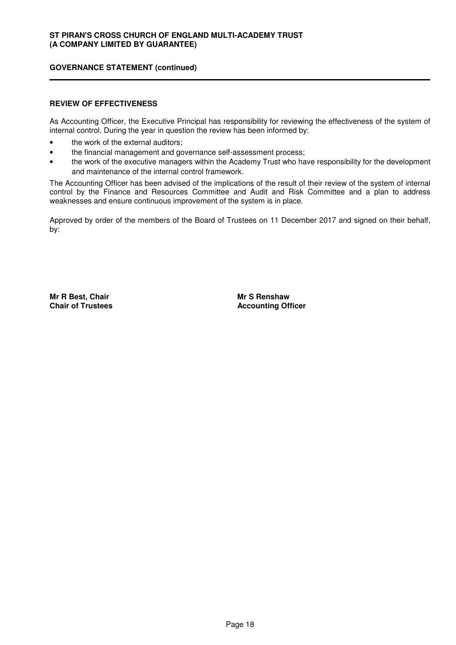## **GOVERNANCE STATEMENT (continued)**

## **REVIEW OF EFFECTIVENESS**

As Accounting Officer, the Executive Principal has responsibility for reviewing the effectiveness of the system of internal control. During the year in question the review has been informed by:

- the work of the external auditors;
- the financial management and governance self-assessment process;
- the work of the executive managers within the Academy Trust who have responsibility for the development and maintenance of the internal control framework.

The Accounting Officer has been advised of the implications of the result of their review of the system of internal control by the Finance and Resources Committee and Audit and Risk Committee and a plan to address weaknesses and ensure continuous improvement of the system is in place.

Approved by order of the members of the Board of Trustees on 11 December 2017 and signed on their behalf, by:

**Mr R Best, Chair Chair of Trustees** **Mr S Renshaw Accounting Officer**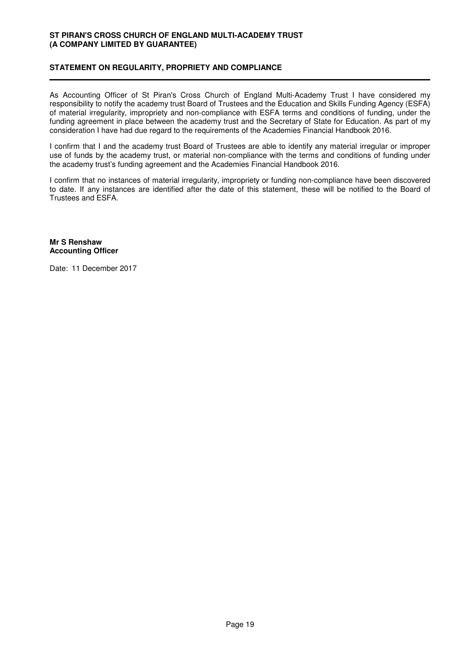## **STATEMENT ON REGULARITY, PROPRIETY AND COMPLIANCE**

As Accounting Officer of St Piran's Cross Church of England Multi-Academy Trust I have considered my responsibility to notify the academy trust Board of Trustees and the Education and Skills Funding Agency (ESFA) of material irregularity, impropriety and non-compliance with ESFA terms and conditions of funding, under the funding agreement in place between the academy trust and the Secretary of State for Education. As part of my consideration I have had due regard to the requirements of the Academies Financial Handbook 2016.

I confirm that I and the academy trust Board of Trustees are able to identify any material irregular or improper use of funds by the academy trust, or material non-compliance with the terms and conditions of funding under the academy trust's funding agreement and the Academies Financial Handbook 2016.

I confirm that no instances of material irregularity, impropriety or funding non-compliance have been discovered to date. If any instances are identified after the date of this statement, these will be notified to the Board of Trustees and ESFA.

**Mr S Renshaw Accounting Officer**

Date: 11 December 2017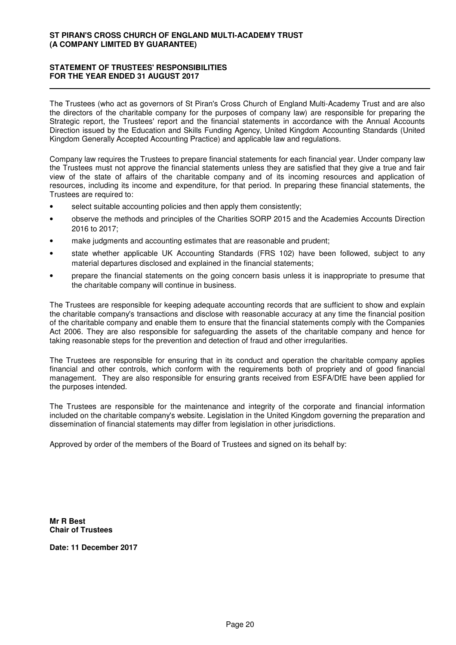## **STATEMENT OF TRUSTEES' RESPONSIBILITIES FOR THE YEAR ENDED 31 AUGUST 2017**

The Trustees (who act as governors of St Piran's Cross Church of England Multi-Academy Trust and are also the directors of the charitable company for the purposes of company law) are responsible for preparing the Strategic report, the Trustees' report and the financial statements in accordance with the Annual Accounts Direction issued by the Education and Skills Funding Agency, United Kingdom Accounting Standards (United Kingdom Generally Accepted Accounting Practice) and applicable law and regulations.

Company law requires the Trustees to prepare financial statements for each financial year. Under company law the Trustees must not approve the financial statements unless they are satisfied that they give a true and fair view of the state of affairs of the charitable company and of its incoming resources and application of resources, including its income and expenditure, for that period. In preparing these financial statements, the Trustees are required to:

- select suitable accounting policies and then apply them consistently;
- observe the methods and principles of the Charities SORP 2015 and the Academies Accounts Direction 2016 to 2017;
- make judgments and accounting estimates that are reasonable and prudent:
- state whether applicable UK Accounting Standards (FRS 102) have been followed, subject to any material departures disclosed and explained in the financial statements;
- prepare the financial statements on the going concern basis unless it is inappropriate to presume that the charitable company will continue in business.

The Trustees are responsible for keeping adequate accounting records that are sufficient to show and explain the charitable company's transactions and disclose with reasonable accuracy at any time the financial position of the charitable company and enable them to ensure that the financial statements comply with the Companies Act 2006. They are also responsible for safeguarding the assets of the charitable company and hence for taking reasonable steps for the prevention and detection of fraud and other irregularities.

The Trustees are responsible for ensuring that in its conduct and operation the charitable company applies financial and other controls, which conform with the requirements both of propriety and of good financial management. They are also responsible for ensuring grants received from ESFA/DfE have been applied for the purposes intended.

The Trustees are responsible for the maintenance and integrity of the corporate and financial information included on the charitable company's website. Legislation in the United Kingdom governing the preparation and dissemination of financial statements may differ from legislation in other jurisdictions.

Approved by order of the members of the Board of Trustees and signed on its behalf by:

**Mr R Best Chair of Trustees**

**Date: 11 December 2017**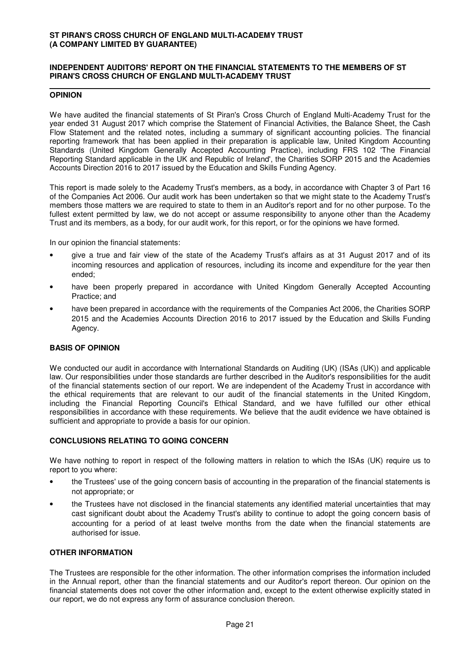### **INDEPENDENT AUDITORS' REPORT ON THE FINANCIAL STATEMENTS TO THE MEMBERS OF ST PIRAN'S CROSS CHURCH OF ENGLAND MULTI-ACADEMY TRUST**

#### **OPINION**

We have audited the financial statements of St Piran's Cross Church of England Multi-Academy Trust for the year ended 31 August 2017 which comprise the Statement of Financial Activities, the Balance Sheet, the Cash Flow Statement and the related notes, including a summary of significant accounting policies. The financial reporting framework that has been applied in their preparation is applicable law, United Kingdom Accounting Standards (United Kingdom Generally Accepted Accounting Practice), including FRS 102 'The Financial Reporting Standard applicable in the UK and Republic of Ireland', the Charities SORP 2015 and the Academies Accounts Direction 2016 to 2017 issued by the Education and Skills Funding Agency.

This report is made solely to the Academy Trust's members, as a body, in accordance with Chapter 3 of Part 16 of the Companies Act 2006. Our audit work has been undertaken so that we might state to the Academy Trust's members those matters we are required to state to them in an Auditor's report and for no other purpose. To the fullest extent permitted by law, we do not accept or assume responsibility to anyone other than the Academy Trust and its members, as a body, for our audit work, for this report, or for the opinions we have formed.

In our opinion the financial statements:

- give a true and fair view of the state of the Academy Trust's affairs as at 31 August 2017 and of its incoming resources and application of resources, including its income and expenditure for the year then ended;
- have been properly prepared in accordance with United Kingdom Generally Accepted Accounting Practice; and
- have been prepared in accordance with the requirements of the Companies Act 2006, the Charities SORP 2015 and the Academies Accounts Direction 2016 to 2017 issued by the Education and Skills Funding Agency.

## **BASIS OF OPINION**

We conducted our audit in accordance with International Standards on Auditing (UK) (ISAs (UK)) and applicable law. Our responsibilities under those standards are further described in the Auditor's responsibilities for the audit of the financial statements section of our report. We are independent of the Academy Trust in accordance with the ethical requirements that are relevant to our audit of the financial statements in the United Kingdom, including the Financial Reporting Council's Ethical Standard, and we have fulfilled our other ethical responsibilities in accordance with these requirements. We believe that the audit evidence we have obtained is sufficient and appropriate to provide a basis for our opinion.

## **CONCLUSIONS RELATING TO GOING CONCERN**

We have nothing to report in respect of the following matters in relation to which the ISAs (UK) require us to report to you where:

- the Trustees' use of the going concern basis of accounting in the preparation of the financial statements is not appropriate; or
- the Trustees have not disclosed in the financial statements any identified material uncertainties that may cast significant doubt about the Academy Trust's ability to continue to adopt the going concern basis of accounting for a period of at least twelve months from the date when the financial statements are authorised for issue.

#### **OTHER INFORMATION**

The Trustees are responsible for the other information. The other information comprises the information included in the Annual report, other than the financial statements and our Auditor's report thereon. Our opinion on the financial statements does not cover the other information and, except to the extent otherwise explicitly stated in our report, we do not express any form of assurance conclusion thereon.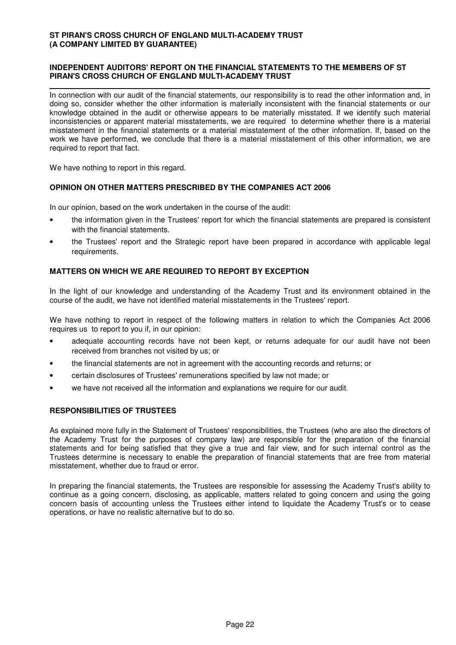## **INDEPENDENT AUDITORS' REPORT ON THE FINANCIAL STATEMENTS TO THE MEMBERS OF ST PIRAN'S CROSS CHURCH OF ENGLAND MULTI-ACADEMY TRUST**

In connection with our audit of the financial statements, our responsibility is to read the other information and, in doing so, consider whether the other information is materially inconsistent with the financial statements or our knowledge obtained in the audit or otherwise appears to be materially misstated. If we identify such material inconsistencies or apparent material misstatements, we are required to determine whether there is a material misstatement in the financial statements or a material misstatement of the other information. If, based on the work we have performed, we conclude that there is a material misstatement of this other information, we are required to report that fact.

We have nothing to report in this regard.

## **OPINION ON OTHER MATTERS PRESCRIBED BY THE COMPANIES ACT 2006**

In our opinion, based on the work undertaken in the course of the audit:

- the information given in the Trustees' report for which the financial statements are prepared is consistent with the financial statements.
- the Trustees' report and the Strategic report have been prepared in accordance with applicable legal requirements.

## **MATTERS ON WHICH WE ARE REQUIRED TO REPORT BY EXCEPTION**

In the light of our knowledge and understanding of the Academy Trust and its environment obtained in the course of the audit, we have not identified material misstatements in the Trustees' report.

We have nothing to report in respect of the following matters in relation to which the Companies Act 2006 requires us to report to you if, in our opinion:

- adequate accounting records have not been kept, or returns adequate for our audit have not been received from branches not visited by us; or
- the financial statements are not in agreement with the accounting records and returns; or
- certain disclosures of Trustees' remunerations specified by law not made; or
- we have not received all the information and explanations we require for our audit.

## **RESPONSIBILITIES OF TRUSTEES**

As explained more fully in the Statement of Trustees' responsibilities, the Trustees (who are also the directors of the Academy Trust for the purposes of company law) are responsible for the preparation of the financial statements and for being satisfied that they give a true and fair view, and for such internal control as the Trustees determine is necessary to enable the preparation of financial statements that are free from material misstatement, whether due to fraud or error.

In preparing the financial statements, the Trustees are responsible for assessing the Academy Trust's ability to continue as a going concern, disclosing, as applicable, matters related to going concern and using the going concern basis of accounting unless the Trustees either intend to liquidate the Academy Trust's or to cease operations, or have no realistic alternative but to do so.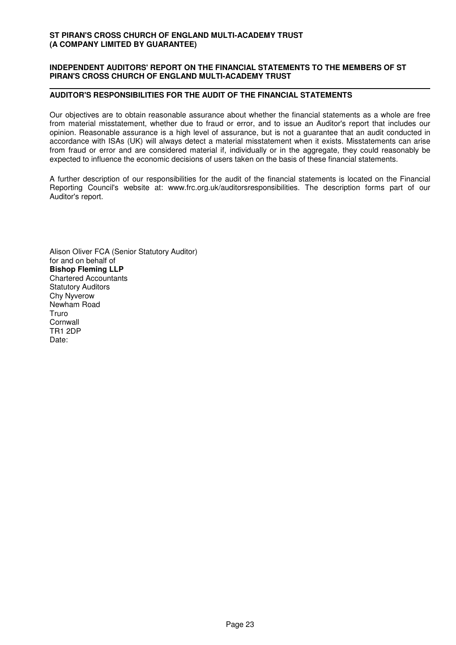### **INDEPENDENT AUDITORS' REPORT ON THE FINANCIAL STATEMENTS TO THE MEMBERS OF ST PIRAN'S CROSS CHURCH OF ENGLAND MULTI-ACADEMY TRUST**

## **AUDITOR'S RESPONSIBILITIES FOR THE AUDIT OF THE FINANCIAL STATEMENTS**

Our objectives are to obtain reasonable assurance about whether the financial statements as a whole are free from material misstatement, whether due to fraud or error, and to issue an Auditor's report that includes our opinion. Reasonable assurance is a high level of assurance, but is not a guarantee that an audit conducted in accordance with ISAs (UK) will always detect a material misstatement when it exists. Misstatements can arise from fraud or error and are considered material if, individually or in the aggregate, they could reasonably be expected to influence the economic decisions of users taken on the basis of these financial statements.

A further description of our responsibilities for the audit of the financial statements is located on the Financial Reporting Council's website at: www.frc.org.uk/auditorsresponsibilities. The description forms part of our Auditor's report.

Alison Oliver FCA (Senior Statutory Auditor) for and on behalf of **Bishop Fleming LLP** Chartered Accountants Statutory Auditors Chy Nyverow Newham Road **Truro Cornwall** TR1 2DP Date: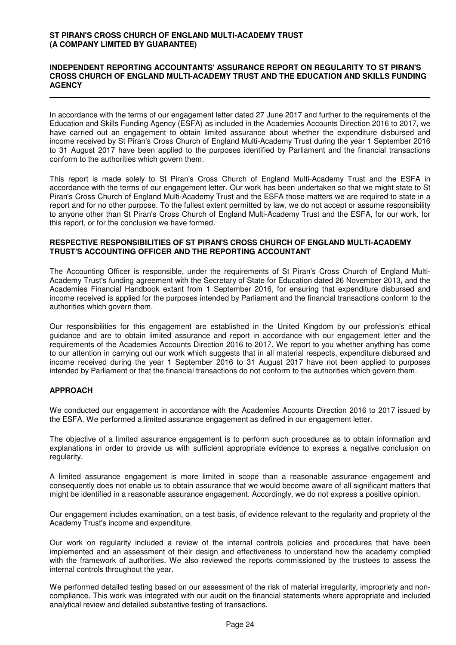#### **INDEPENDENT REPORTING ACCOUNTANTS' ASSURANCE REPORT ON REGULARITY TO ST PIRAN'S CROSS CHURCH OF ENGLAND MULTI-ACADEMY TRUST AND THE EDUCATION AND SKILLS FUNDING AGENCY**

In accordance with the terms of our engagement letter dated 27 June 2017 and further to the requirements of the Education and Skills Funding Agency (ESFA) as included in the Academies Accounts Direction 2016 to 2017, we have carried out an engagement to obtain limited assurance about whether the expenditure disbursed and income received by St Piran's Cross Church of England Multi-Academy Trust during the year 1 September 2016 to 31 August 2017 have been applied to the purposes identified by Parliament and the financial transactions conform to the authorities which govern them.

This report is made solely to St Piran's Cross Church of England Multi-Academy Trust and the ESFA in accordance with the terms of our engagement letter. Our work has been undertaken so that we might state to St Piran's Cross Church of England Multi-Academy Trust and the ESFA those matters we are required to state in a report and for no other purpose. To the fullest extent permitted by law, we do not accept or assume responsibility to anyone other than St Piran's Cross Church of England Multi-Academy Trust and the ESFA, for our work, for this report, or for the conclusion we have formed.

#### **RESPECTIVE RESPONSIBILITIES OF ST PIRAN'S CROSS CHURCH OF ENGLAND MULTI-ACADEMY TRUST'S ACCOUNTING OFFICER AND THE REPORTING ACCOUNTANT**

The Accounting Officer is responsible, under the requirements of St Piran's Cross Church of England Multi-Academy Trust's funding agreement with the Secretary of State for Education dated 26 November 2013, and the Academies Financial Handbook extant from 1 September 2016, for ensuring that expenditure disbursed and income received is applied for the purposes intended by Parliament and the financial transactions conform to the authorities which govern them.

Our responsibilities for this engagement are established in the United Kingdom by our profession's ethical guidance and are to obtain limited assurance and report in accordance with our engagement letter and the requirements of the Academies Accounts Direction 2016 to 2017. We report to you whether anything has come to our attention in carrying out our work which suggests that in all material respects, expenditure disbursed and income received during the year 1 September 2016 to 31 August 2017 have not been applied to purposes intended by Parliament or that the financial transactions do not conform to the authorities which govern them.

## **APPROACH**

We conducted our engagement in accordance with the Academies Accounts Direction 2016 to 2017 issued by the ESFA. We performed a limited assurance engagement as defined in our engagement letter.

The objective of a limited assurance engagement is to perform such procedures as to obtain information and explanations in order to provide us with sufficient appropriate evidence to express a negative conclusion on regularity.

A limited assurance engagement is more limited in scope than a reasonable assurance engagement and consequently does not enable us to obtain assurance that we would become aware of all significant matters that might be identified in a reasonable assurance engagement. Accordingly, we do not express a positive opinion.

Our engagement includes examination, on a test basis, of evidence relevant to the regularity and propriety of the Academy Trust's income and expenditure.

Our work on regularity included a review of the internal controls policies and procedures that have been implemented and an assessment of their design and effectiveness to understand how the academy complied with the framework of authorities. We also reviewed the reports commissioned by the trustees to assess the internal controls throughout the year.

We performed detailed testing based on our assessment of the risk of material irregularity, impropriety and noncompliance. This work was integrated with our audit on the financial statements where appropriate and included analytical review and detailed substantive testing of transactions.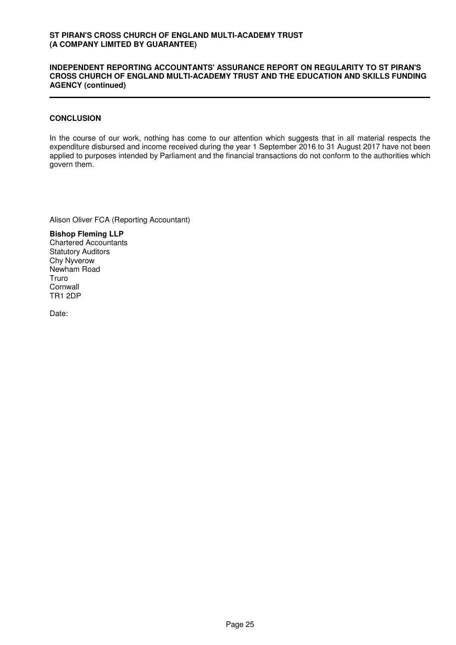#### **INDEPENDENT REPORTING ACCOUNTANTS' ASSURANCE REPORT ON REGULARITY TO ST PIRAN'S CROSS CHURCH OF ENGLAND MULTI-ACADEMY TRUST AND THE EDUCATION AND SKILLS FUNDING AGENCY (continued)**

## **CONCLUSION**

In the course of our work, nothing has come to our attention which suggests that in all material respects the expenditure disbursed and income received during the year 1 September 2016 to 31 August 2017 have not been applied to purposes intended by Parliament and the financial transactions do not conform to the authorities which govern them.

Alison Oliver FCA (Reporting Accountant)

**Bishop Fleming LLP** Chartered Accountants Statutory Auditors Chy Nyverow Newham Road Truro **Cornwall** TR1 2DP

Date: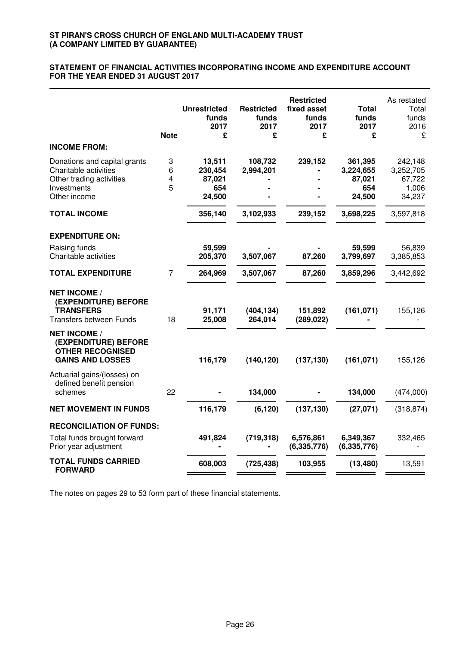#### **STATEMENT OF FINANCIAL ACTIVITIES INCORPORATING INCOME AND EXPENDITURE ACCOUNT FOR THE YEAR ENDED 31 AUGUST 2017**

| <b>Unrestricted</b><br>funds<br>2017<br>£    | <b>Restricted</b><br>funds<br>2017<br>£ | <b>Restricted</b><br>fixed asset<br>funds<br>2017<br>£ | Total<br>funds<br>2017<br>£                     | As restated<br>Total<br>funds<br>2016<br>£        |
|----------------------------------------------|-----------------------------------------|--------------------------------------------------------|-------------------------------------------------|---------------------------------------------------|
|                                              |                                         |                                                        |                                                 |                                                   |
| 13,511<br>230,454<br>87,021<br>654<br>24,500 | 108,732<br>2,994,201                    | 239,152                                                | 361,395<br>3,224,655<br>87,021<br>654<br>24,500 | 242,148<br>3,252,705<br>67,722<br>1,006<br>34,237 |
| 356,140                                      | 3,102,933                               | 239,152                                                | 3,698,225                                       | 3,597,818                                         |
|                                              |                                         |                                                        |                                                 |                                                   |
| 59,599<br>205,370                            | 3,507,067                               | 87,260                                                 | 59,599<br>3,799,697                             | 56,839<br>3,385,853                               |
| 264,969                                      | 3,507,067                               | 87,260                                                 | 3,859,296                                       | 3,442,692                                         |
| 91,171<br>25,008                             | (404, 134)<br>264,014                   | 151,892<br>(289, 022)                                  | (161, 071)                                      | 155,126                                           |
| 116,179                                      | (140, 120)                              | (137, 130)                                             | (161, 071)                                      | 155,126                                           |
|                                              | 134,000                                 |                                                        | 134,000                                         | (474,000)                                         |
| 116,179                                      | (6, 120)                                | (137, 130)                                             | (27,071)                                        | (318, 874)                                        |
|                                              |                                         |                                                        |                                                 |                                                   |
| 491,824                                      | (719, 318)                              | 6,576,861<br>(6, 335, 776)                             | 6,349,367<br>(6, 335, 776)                      | 332,465                                           |
| 608,003                                      | (725, 438)                              | 103,955                                                | (13, 480)                                       | 13,591                                            |
|                                              | <b>Note</b>                             |                                                        |                                                 |                                                   |

The notes on pages 29 to 53 form part of these financial statements.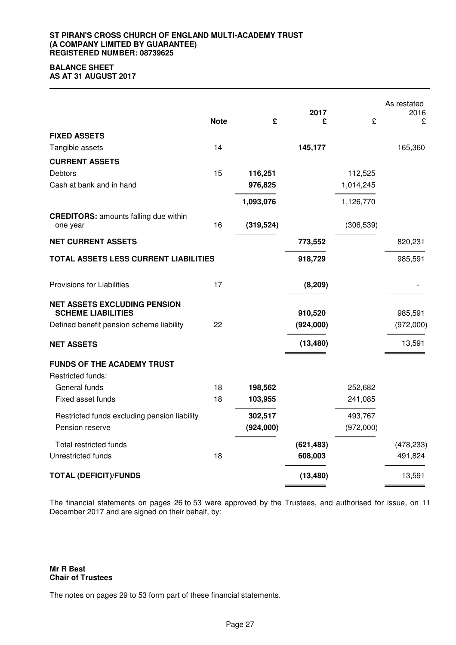## **BALANCE SHEET**

**AS AT 31 AUGUST 2017**

|                                                                  | <b>Note</b> | £          | 2017<br>£  | £          | As restated<br>2016<br>£ |
|------------------------------------------------------------------|-------------|------------|------------|------------|--------------------------|
| <b>FIXED ASSETS</b>                                              |             |            |            |            |                          |
| Tangible assets                                                  | 14          |            | 145,177    |            | 165,360                  |
| <b>CURRENT ASSETS</b>                                            |             |            |            |            |                          |
| <b>Debtors</b>                                                   | 15          | 116,251    |            | 112,525    |                          |
| Cash at bank and in hand                                         |             | 976,825    |            | 1,014,245  |                          |
|                                                                  |             | 1,093,076  |            | 1,126,770  |                          |
| <b>CREDITORS: amounts falling due within</b><br>one year         | 16          | (319, 524) |            | (306, 539) |                          |
| <b>NET CURRENT ASSETS</b>                                        |             |            | 773,552    |            | 820,231                  |
| TOTAL ASSETS LESS CURRENT LIABILITIES                            |             |            | 918,729    |            | 985,591                  |
| Provisions for Liabilities                                       | 17          |            | (8, 209)   |            |                          |
| <b>NET ASSETS EXCLUDING PENSION</b><br><b>SCHEME LIABILITIES</b> |             |            | 910,520    |            | 985,591                  |
| Defined benefit pension scheme liability                         | 22          |            | (924,000)  |            | (972,000)                |
| <b>NET ASSETS</b>                                                |             |            | (13, 480)  |            | 13,591                   |
| <b>FUNDS OF THE ACADEMY TRUST</b><br>Restricted funds:           |             |            |            |            |                          |
| General funds                                                    | 18          | 198,562    |            | 252,682    |                          |
| Fixed asset funds                                                | 18          | 103,955    |            | 241,085    |                          |
| Restricted funds excluding pension liability                     |             | 302,517    |            | 493,767    |                          |
| Pension reserve                                                  |             | (924,000)  |            | (972,000)  |                          |
| <b>Total restricted funds</b>                                    |             |            | (621, 483) |            | (478, 233)               |
| Unrestricted funds                                               | 18          |            | 608,003    |            | 491,824                  |
| <b>TOTAL (DEFICIT)/FUNDS</b>                                     |             |            | (13, 480)  |            | 13,591                   |

The financial statements on pages 26 to 53 were approved by the Trustees, and authorised for issue, on 11 December 2017 and are signed on their behalf, by:

**Mr R Best Chair of Trustees**

The notes on pages 29 to 53 form part of these financial statements.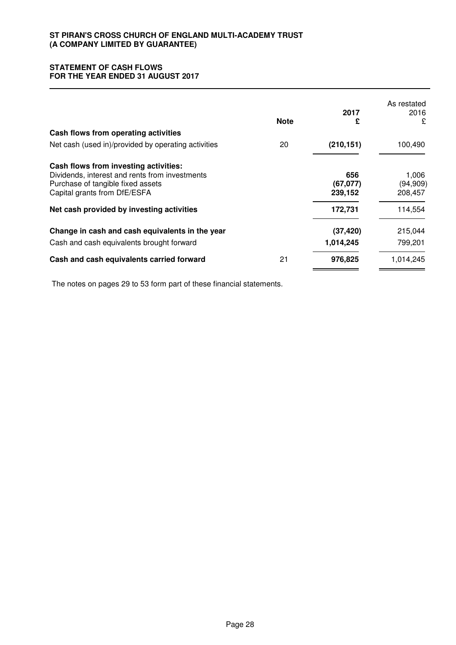## **STATEMENT OF CASH FLOWS FOR THE YEAR ENDED 31 AUGUST 2017**

|                                                     | <b>Note</b> | 2017<br>£  | As restated<br>2016<br>£ |
|-----------------------------------------------------|-------------|------------|--------------------------|
| Cash flows from operating activities                |             |            |                          |
| Net cash (used in)/provided by operating activities | 20          | (210, 151) | 100,490                  |
| Cash flows from investing activities:               |             |            |                          |
| Dividends, interest and rents from investments      |             | 656        | 1,006                    |
| Purchase of tangible fixed assets                   |             | (67, 077)  | (94, 909)                |
| Capital grants from DfE/ESFA                        |             | 239,152    | 208,457                  |
| Net cash provided by investing activities           |             | 172,731    | 114,554                  |
| Change in cash and cash equivalents in the year     |             | (37, 420)  | 215,044                  |
| Cash and cash equivalents brought forward           |             | 1,014,245  | 799,201                  |
| Cash and cash equivalents carried forward           | 21          | 976,825    | 1,014,245                |

The notes on pages 29 to 53 form part of these financial statements.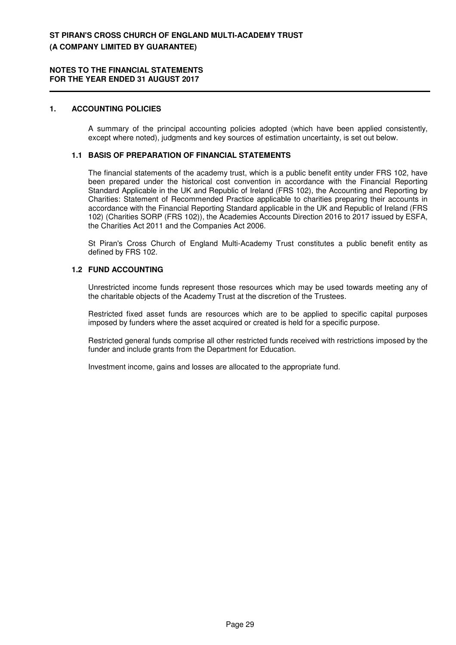### **1. ACCOUNTING POLICIES**

A summary of the principal accounting policies adopted (which have been applied consistently, except where noted), judgments and key sources of estimation uncertainty, is set out below.

### **1.1 BASIS OF PREPARATION OF FINANCIAL STATEMENTS**

The financial statements of the academy trust, which is a public benefit entity under FRS 102, have been prepared under the historical cost convention in accordance with the Financial Reporting Standard Applicable in the UK and Republic of Ireland (FRS 102), the Accounting and Reporting by Charities: Statement of Recommended Practice applicable to charities preparing their accounts in accordance with the Financial Reporting Standard applicable in the UK and Republic of Ireland (FRS 102) (Charities SORP (FRS 102)), the Academies Accounts Direction 2016 to 2017 issued by ESFA, the Charities Act 2011 and the Companies Act 2006.

St Piran's Cross Church of England Multi-Academy Trust constitutes a public benefit entity as defined by FRS 102.

#### **1.2 FUND ACCOUNTING**

Unrestricted income funds represent those resources which may be used towards meeting any of the charitable objects of the Academy Trust at the discretion of the Trustees.

Restricted fixed asset funds are resources which are to be applied to specific capital purposes imposed by funders where the asset acquired or created is held for a specific purpose.

Restricted general funds comprise all other restricted funds received with restrictions imposed by the funder and include grants from the Department for Education.

Investment income, gains and losses are allocated to the appropriate fund.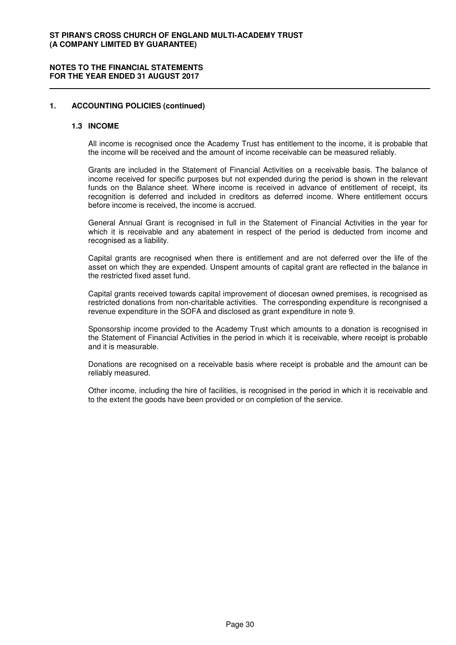#### **NOTES TO THE FINANCIAL STATEMENTS FOR THE YEAR ENDED 31 AUGUST 2017**

#### **1. ACCOUNTING POLICIES (continued)**

#### **1.3 INCOME**

All income is recognised once the Academy Trust has entitlement to the income, it is probable that the income will be received and the amount of income receivable can be measured reliably.

Grants are included in the Statement of Financial Activities on a receivable basis. The balance of income received for specific purposes but not expended during the period is shown in the relevant funds on the Balance sheet. Where income is received in advance of entitlement of receipt, its recognition is deferred and included in creditors as deferred income. Where entitlement occurs before income is received, the income is accrued.

General Annual Grant is recognised in full in the Statement of Financial Activities in the year for which it is receivable and any abatement in respect of the period is deducted from income and recognised as a liability.

Capital grants are recognised when there is entitlement and are not deferred over the life of the asset on which they are expended. Unspent amounts of capital grant are reflected in the balance in the restricted fixed asset fund.

Capital grants received towards capital improvement of diocesan owned premises, is recognised as restricted donations from non-charitable activities. The corresponding expenditure is recongnised a revenue expenditure in the SOFA and disclosed as grant expenditure in note 9.

Sponsorship income provided to the Academy Trust which amounts to a donation is recognised in the Statement of Financial Activities in the period in which it is receivable, where receipt is probable and it is measurable.

Donations are recognised on a receivable basis where receipt is probable and the amount can be reliably measured.

Other income, including the hire of facilities, is recognised in the period in which it is receivable and to the extent the goods have been provided or on completion of the service.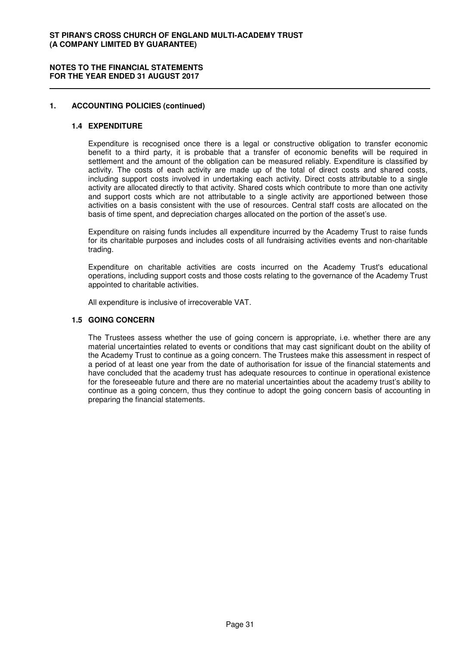#### **NOTES TO THE FINANCIAL STATEMENTS FOR THE YEAR ENDED 31 AUGUST 2017**

## **1. ACCOUNTING POLICIES (continued)**

#### **1.4 EXPENDITURE**

Expenditure is recognised once there is a legal or constructive obligation to transfer economic benefit to a third party, it is probable that a transfer of economic benefits will be required in settlement and the amount of the obligation can be measured reliably. Expenditure is classified by activity. The costs of each activity are made up of the total of direct costs and shared costs, including support costs involved in undertaking each activity. Direct costs attributable to a single activity are allocated directly to that activity. Shared costs which contribute to more than one activity and support costs which are not attributable to a single activity are apportioned between those activities on a basis consistent with the use of resources. Central staff costs are allocated on the basis of time spent, and depreciation charges allocated on the portion of the asset's use.

Expenditure on raising funds includes all expenditure incurred by the Academy Trust to raise funds for its charitable purposes and includes costs of all fundraising activities events and non-charitable trading.

Expenditure on charitable activities are costs incurred on the Academy Trust's educational operations, including support costs and those costs relating to the governance of the Academy Trust appointed to charitable activities.

All expenditure is inclusive of irrecoverable VAT.

## **1.5 GOING CONCERN**

The Trustees assess whether the use of going concern is appropriate, i.e. whether there are any material uncertainties related to events or conditions that may cast significant doubt on the ability of the Academy Trust to continue as a going concern. The Trustees make this assessment in respect of a period of at least one year from the date of authorisation for issue of the financial statements and have concluded that the academy trust has adequate resources to continue in operational existence for the foreseeable future and there are no material uncertainties about the academy trust's ability to continue as a going concern, thus they continue to adopt the going concern basis of accounting in preparing the financial statements.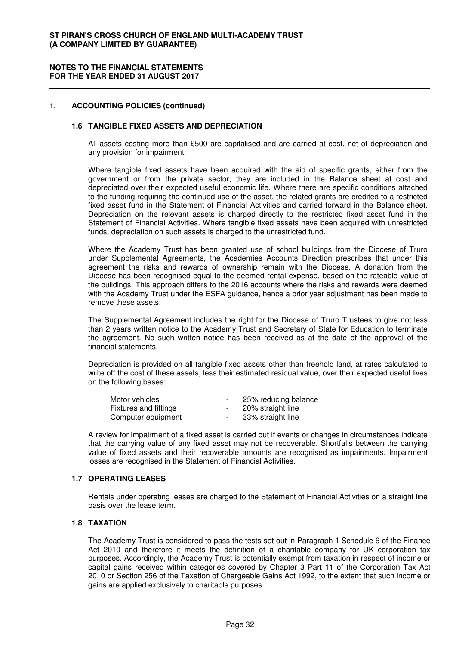#### **NOTES TO THE FINANCIAL STATEMENTS FOR THE YEAR ENDED 31 AUGUST 2017**

#### **1. ACCOUNTING POLICIES (continued)**

#### **1.6 TANGIBLE FIXED ASSETS AND DEPRECIATION**

All assets costing more than £500 are capitalised and are carried at cost, net of depreciation and any provision for impairment.

Where tangible fixed assets have been acquired with the aid of specific grants, either from the government or from the private sector, they are included in the Balance sheet at cost and depreciated over their expected useful economic life. Where there are specific conditions attached to the funding requiring the continued use of the asset, the related grants are credited to a restricted fixed asset fund in the Statement of Financial Activities and carried forward in the Balance sheet. Depreciation on the relevant assets is charged directly to the restricted fixed asset fund in the Statement of Financial Activities. Where tangible fixed assets have been acquired with unrestricted funds, depreciation on such assets is charged to the unrestricted fund.

Where the Academy Trust has been granted use of school buildings from the Diocese of Truro under Supplemental Agreements, the Academies Accounts Direction prescribes that under this agreement the risks and rewards of ownership remain with the Diocese. A donation from the Diocese has been recognised equal to the deemed rental expense, based on the rateable value of the buildings. This approach differs to the 2016 accounts where the risks and rewards were deemed with the Academy Trust under the ESFA guidance, hence a prior year adjustment has been made to remove these assets.

The Supplemental Agreement includes the right for the Diocese of Truro Trustees to give not less than 2 years written notice to the Academy Trust and Secretary of State for Education to terminate the agreement. No such written notice has been received as at the date of the approval of the financial statements.

Depreciation is provided on all tangible fixed assets other than freehold land, at rates calculated to write off the cost of these assets, less their estimated residual value, over their expected useful lives on the following bases:

| Motor vehicles        | $\sim$ | 25% reducing balance |
|-----------------------|--------|----------------------|
| Fixtures and fittings | $\sim$ | 20% straight line    |
| Computer equipment    | $\sim$ | 33% straight line    |

A review for impairment of a fixed asset is carried out if events or changes in circumstances indicate that the carrying value of any fixed asset may not be recoverable. Shortfalls between the carrying value of fixed assets and their recoverable amounts are recognised as impairments. Impairment losses are recognised in the Statement of Financial Activities.

#### **1.7 OPERATING LEASES**

Rentals under operating leases are charged to the Statement of Financial Activities on a straight line basis over the lease term.

#### **1.8 TAXATION**

The Academy Trust is considered to pass the tests set out in Paragraph 1 Schedule 6 of the Finance Act 2010 and therefore it meets the definition of a charitable company for UK corporation tax purposes. Accordingly, the Academy Trust is potentially exempt from taxation in respect of income or capital gains received within categories covered by Chapter 3 Part 11 of the Corporation Tax Act 2010 or Section 256 of the Taxation of Chargeable Gains Act 1992, to the extent that such income or gains are applied exclusively to charitable purposes.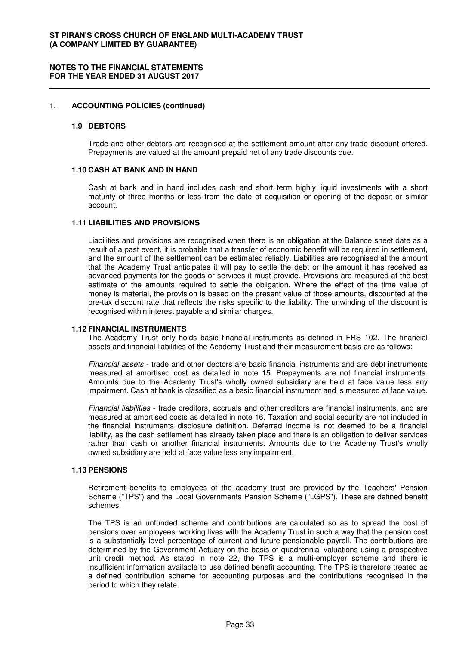#### **1. ACCOUNTING POLICIES (continued)**

#### **1.9 DEBTORS**

Trade and other debtors are recognised at the settlement amount after any trade discount offered. Prepayments are valued at the amount prepaid net of any trade discounts due.

#### **1.10 CASH AT BANK AND IN HAND**

Cash at bank and in hand includes cash and short term highly liquid investments with a short maturity of three months or less from the date of acquisition or opening of the deposit or similar account.

#### **1.11 LIABILITIES AND PROVISIONS**

Liabilities and provisions are recognised when there is an obligation at the Balance sheet date as a result of a past event, it is probable that a transfer of economic benefit will be required in settlement, and the amount of the settlement can be estimated reliably. Liabilities are recognised at the amount that the Academy Trust anticipates it will pay to settle the debt or the amount it has received as advanced payments for the goods or services it must provide. Provisions are measured at the best estimate of the amounts required to settle the obligation. Where the effect of the time value of money is material, the provision is based on the present value of those amounts, discounted at the pre-tax discount rate that reflects the risks specific to the liability. The unwinding of the discount is recognised within interest payable and similar charges.

## **1.12 FINANCIAL INSTRUMENTS**

The Academy Trust only holds basic financial instruments as defined in FRS 102. The financial assets and financial liabilities of the Academy Trust and their measurement basis are as follows:

Financial assets - trade and other debtors are basic financial instruments and are debt instruments measured at amortised cost as detailed in note 15. Prepayments are not financial instruments. Amounts due to the Academy Trust's wholly owned subsidiary are held at face value less any impairment. Cash at bank is classified as a basic financial instrument and is measured at face value.

Financial liabilities - trade creditors, accruals and other creditors are financial instruments, and are measured at amortised costs as detailed in note 16. Taxation and social security are not included in the financial instruments disclosure definition. Deferred income is not deemed to be a financial liability, as the cash settlement has already taken place and there is an obligation to deliver services rather than cash or another financial instruments. Amounts due to the Academy Trust's wholly owned subsidiary are held at face value less any impairment.

## **1.13 PENSIONS**

Retirement benefits to employees of the academy trust are provided by the Teachers' Pension Scheme ("TPS") and the Local Governments Pension Scheme ("LGPS"). These are defined benefit schemes.

The TPS is an unfunded scheme and contributions are calculated so as to spread the cost of pensions over employees' working lives with the Academy Trust in such a way that the pension cost is a substantially level percentage of current and future pensionable payroll. The contributions are determined by the Government Actuary on the basis of quadrennial valuations using a prospective unit credit method. As stated in note 22, the TPS is a multi-employer scheme and there is insufficient information available to use defined benefit accounting. The TPS is therefore treated as a defined contribution scheme for accounting purposes and the contributions recognised in the period to which they relate.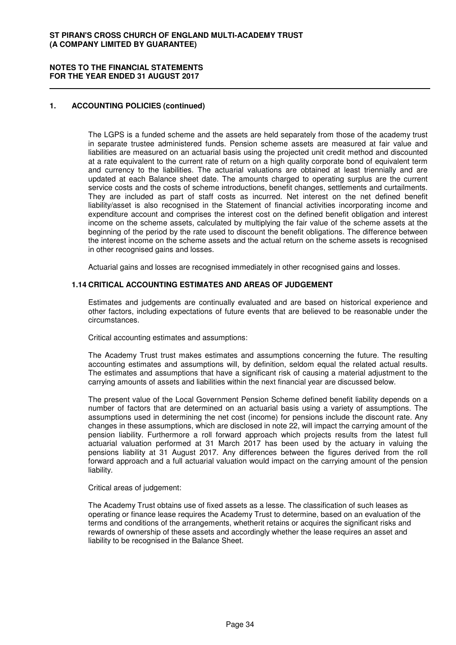#### **NOTES TO THE FINANCIAL STATEMENTS FOR THE YEAR ENDED 31 AUGUST 2017**

## **1. ACCOUNTING POLICIES (continued)**

The LGPS is a funded scheme and the assets are held separately from those of the academy trust in separate trustee administered funds. Pension scheme assets are measured at fair value and liabilities are measured on an actuarial basis using the projected unit credit method and discounted at a rate equivalent to the current rate of return on a high quality corporate bond of equivalent term and currency to the liabilities. The actuarial valuations are obtained at least triennially and are updated at each Balance sheet date. The amounts charged to operating surplus are the current service costs and the costs of scheme introductions, benefit changes, settlements and curtailments. They are included as part of staff costs as incurred. Net interest on the net defined benefit liability/asset is also recognised in the Statement of financial activities incorporating income and expenditure account and comprises the interest cost on the defined benefit obligation and interest income on the scheme assets, calculated by multiplying the fair value of the scheme assets at the beginning of the period by the rate used to discount the benefit obligations. The difference between the interest income on the scheme assets and the actual return on the scheme assets is recognised in other recognised gains and losses.

Actuarial gains and losses are recognised immediately in other recognised gains and losses.

#### **1.14 CRITICAL ACCOUNTING ESTIMATES AND AREAS OF JUDGEMENT**

Estimates and judgements are continually evaluated and are based on historical experience and other factors, including expectations of future events that are believed to be reasonable under the circumstances.

Critical accounting estimates and assumptions:

The Academy Trust trust makes estimates and assumptions concerning the future. The resulting accounting estimates and assumptions will, by definition, seldom equal the related actual results. The estimates and assumptions that have a significant risk of causing a material adjustment to the carrying amounts of assets and liabilities within the next financial year are discussed below.

The present value of the Local Government Pension Scheme defined benefit liability depends on a number of factors that are determined on an actuarial basis using a variety of assumptions. The assumptions used in determining the net cost (income) for pensions include the discount rate. Any changes in these assumptions, which are disclosed in note 22, will impact the carrying amount of the pension liability. Furthermore a roll forward approach which projects results from the latest full actuarial valuation performed at 31 March 2017 has been used by the actuary in valuing the pensions liability at 31 August 2017. Any differences between the figures derived from the roll forward approach and a full actuarial valuation would impact on the carrying amount of the pension liability.

#### Critical areas of judgement:

The Academy Trust obtains use of fixed assets as a lesse. The classification of such leases as operating or finance lease requires the Academy Trust to determine, based on an evaluation of the terms and conditions of the arrangements, whetherit retains or acquires the significant risks and rewards of ownership of these assets and accordingly whether the lease requires an asset and liability to be recognised in the Balance Sheet.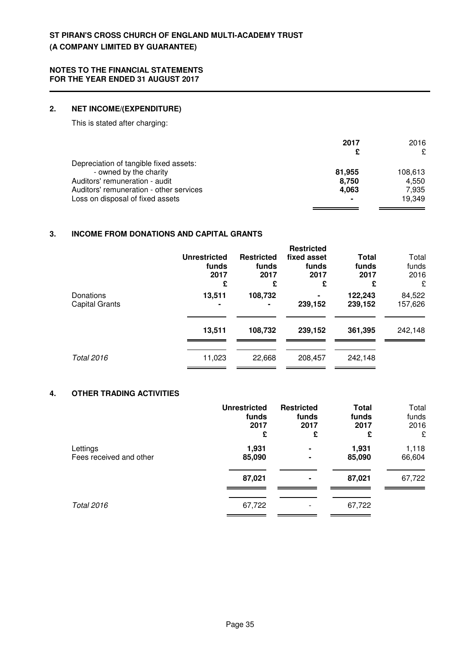## **2. NET INCOME/(EXPENDITURE)**

This is stated after charging:

|                                         | 2017   | 2016<br>£ |
|-----------------------------------------|--------|-----------|
| Depreciation of tangible fixed assets:  |        |           |
| - owned by the charity                  | 81.955 | 108,613   |
| Auditors' remuneration - audit          | 8,750  | 4.550     |
| Auditors' remuneration - other services | 4,063  | 7,935     |
| Loss on disposal of fixed assets        |        | 19.349    |

## **3. INCOME FROM DONATIONS AND CAPITAL GRANTS**

|                                    | <b>Unrestricted</b><br>funds<br>2017<br>£ | <b>Restricted</b><br>funds<br>2017<br>£ | <b>Restricted</b><br>fixed asset<br>funds<br>2017<br>£ | Total<br>funds<br>2017<br>£ | Total<br>funds<br>2016<br>£ |
|------------------------------------|-------------------------------------------|-----------------------------------------|--------------------------------------------------------|-----------------------------|-----------------------------|
| Donations<br><b>Capital Grants</b> | 13,511                                    | 108,732                                 | $\blacksquare$<br>239,152                              | 122,243<br>239,152          | 84,522<br>157,626           |
|                                    | 13,511                                    | 108,732                                 | 239,152                                                | 361,395                     | 242,148                     |
| Total 2016                         | 11,023                                    | 22,668                                  | 208,457                                                | 242,148                     |                             |

## **4. OTHER TRADING ACTIVITIES**

|                         | <b>Unrestricted</b> | <b>Restricted</b> | <b>Total</b> | Total  |
|-------------------------|---------------------|-------------------|--------------|--------|
|                         | funds               | funds             | funds        | funds  |
|                         | 2017                | 2017              | 2017         | 2016   |
|                         | £                   | £                 | £            | £      |
| Lettings                | 1,931               | ۰                 | 1,931        | 1,118  |
| Fees received and other | 85,090              | ۰                 | 85,090       | 66,604 |
|                         | 87,021              |                   | 87,021       | 67,722 |
| <b>Total 2016</b>       | 67,722              |                   | 67,722       |        |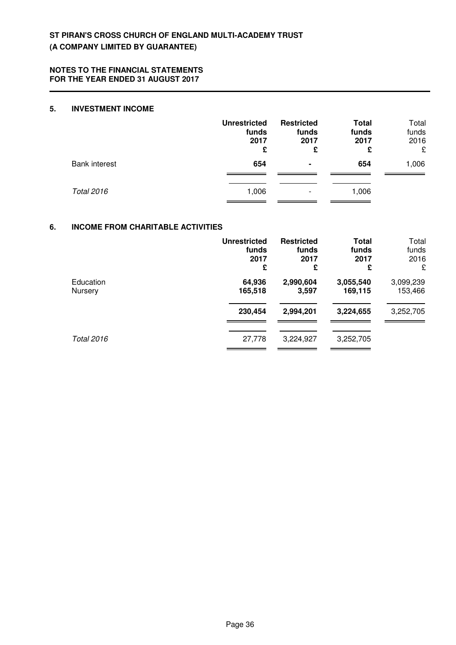### **5. INVESTMENT INCOME**

|                      | <b>Unrestricted</b><br>funds<br>2017<br>£ | <b>Restricted</b><br>funds<br>2017<br>£ | <b>Total</b><br>funds<br>2017<br>£ | Total<br>funds<br>2016<br>£ |
|----------------------|-------------------------------------------|-----------------------------------------|------------------------------------|-----------------------------|
| <b>Bank interest</b> | 654                                       | ۰                                       | 654                                | 1,006                       |
| <b>Total 2016</b>    | 1,006                                     |                                         | 1,006                              |                             |

## **6. INCOME FROM CHARITABLE ACTIVITIES**

|                | <b>Unrestricted</b> | <b>Restricted</b> | Total     | Total     |
|----------------|---------------------|-------------------|-----------|-----------|
|                | funds               | funds             | funds     | funds     |
|                | 2017                | 2017              | 2017      | 2016      |
|                | £                   | £                 | £         | £         |
| Education      | 64,936              | 2,990,604         | 3,055,540 | 3,099,239 |
| <b>Nursery</b> | 165,518             | 3,597             | 169,115   | 153,466   |
|                | 230,454             | 2,994,201         | 3,224,655 | 3,252,705 |
| Total 2016     | 27,778              | 3,224,927         | 3,252,705 |           |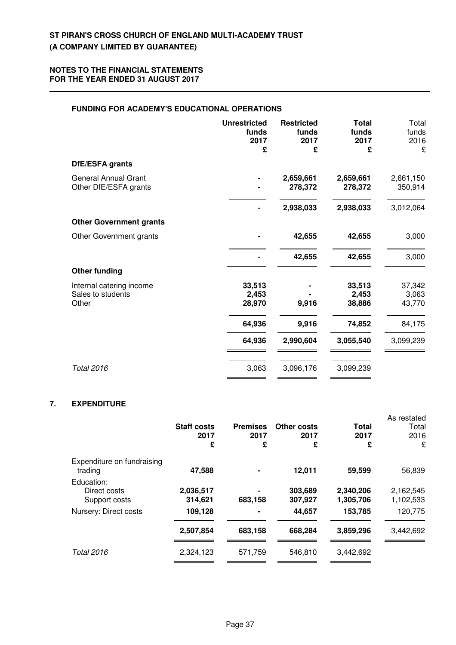## **FUNDING FOR ACADEMY'S EDUCATIONAL OPERATIONS**

| <b>Unrestricted</b><br>funds<br>2017<br>£ | <b>Restricted</b><br>funds<br>2017<br>£ | <b>Total</b><br>funds<br>2017<br>£ | Total<br>funds<br>2016<br>£ |
|-------------------------------------------|-----------------------------------------|------------------------------------|-----------------------------|
|                                           |                                         |                                    |                             |
|                                           | 2,659,661<br>278,372                    | 2,659,661<br>278,372               | 2,661,150<br>350,914        |
|                                           | 2,938,033                               | 2,938,033                          | 3,012,064                   |
|                                           |                                         |                                    |                             |
|                                           | 42,655                                  | 42,655                             | 3,000                       |
|                                           | 42,655                                  | 42,655                             | 3,000                       |
|                                           |                                         |                                    |                             |
| 33,513<br>2,453<br>28,970                 | 9,916                                   | 33,513<br>2,453<br>38,886          | 37,342<br>3,063<br>43,770   |
| 64,936                                    | 9,916                                   | 74,852                             | 84,175                      |
| 64,936                                    | 2,990,604                               | 3,055,540                          | 3,099,239                   |
| 3,063                                     | 3,096,176                               | 3,099,239                          |                             |
|                                           |                                         |                                    |                             |

## **7. EXPENDITURE**

|                                             | <b>Staff costs</b><br>2017<br>£ | <b>Premises</b><br>2017<br>£ | Other costs<br>2017<br>£ | Total<br>2017<br>£     | As restated<br>Total<br>2016<br>£ |
|---------------------------------------------|---------------------------------|------------------------------|--------------------------|------------------------|-----------------------------------|
| Expenditure on fundraising<br>trading       | 47,588                          |                              | 12,011                   | 59,599                 | 56,839                            |
| Education:<br>Direct costs<br>Support costs | 2,036,517<br>314,621            | 683,158                      | 303,689<br>307,927       | 2,340,206<br>1,305,706 | 2,162,545<br>1,102,533            |
| Nursery: Direct costs                       | 109,128                         |                              | 44,657                   | 153,785                | 120,775                           |
|                                             | 2,507,854                       | 683,158                      | 668,284                  | 3,859,296              | 3,442,692                         |
| <b>Total 2016</b>                           | 2,324,123                       | 571,759                      | 546,810                  | 3,442,692              |                                   |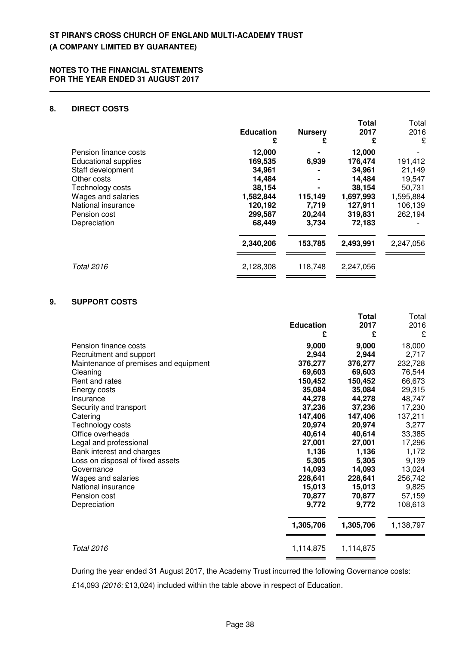## **8. DIRECT COSTS**

|                             | <b>Education</b><br>£ | <b>Nursery</b><br>£ | <b>Total</b><br>2017<br>£ | Total<br>2016<br>£ |
|-----------------------------|-----------------------|---------------------|---------------------------|--------------------|
| Pension finance costs       | 12,000                |                     | 12,000                    |                    |
| <b>Educational supplies</b> | 169,535               | 6,939               | 176,474                   | 191,412            |
| Staff development           | 34,961                |                     | 34,961                    | 21,149             |
| Other costs                 | 14,484                | $\blacksquare$      | 14,484                    | 19,547             |
| Technology costs            | 38,154                |                     | 38,154                    | 50,731             |
| Wages and salaries          | 1,582,844             | 115,149             | 1,697,993                 | 1,595,884          |
| National insurance          | 120,192               | 7,719               | 127,911                   | 106,139            |
| Pension cost                | 299,587               | 20,244              | 319,831                   | 262,194            |
| Depreciation                | 68,449                | 3,734               | 72,183                    |                    |
|                             | 2,340,206             | 153,785             | 2,493,991                 | 2,247,056          |
| <b>Total 2016</b>           | 2,128,308             | 118,748             | 2,247,056                 |                    |

## **9. SUPPORT COSTS**

|                                       | <b>Education</b><br>£ | <b>Total</b><br>2017<br>£ | Total<br>2016<br>£ |
|---------------------------------------|-----------------------|---------------------------|--------------------|
| Pension finance costs                 | 9,000                 | 9,000                     | 18,000             |
| Recruitment and support               | 2,944                 | 2,944                     | 2,717              |
| Maintenance of premises and equipment | 376,277               | 376,277                   | 232,728            |
| Cleaning                              | 69,603                | 69,603                    | 76,544             |
| Rent and rates                        | 150,452               | 150,452                   | 66,673             |
| Energy costs                          | 35,084                | 35,084                    | 29,315             |
| Insurance                             | 44,278                | 44,278                    | 48,747             |
| Security and transport                | 37,236                | 37,236                    | 17,230             |
| Catering                              | 147,406               | 147,406                   | 137,211            |
| Technology costs                      | 20,974                | 20,974                    | 3,277              |
| Office overheads                      | 40,614                | 40,614                    | 33,385             |
| Legal and professional                | 27,001                | 27,001                    | 17,296             |
| Bank interest and charges             | 1,136                 | 1,136                     | 1,172              |
| Loss on disposal of fixed assets      | 5,305                 | 5,305                     | 9,139              |
| Governance                            | 14,093                | 14,093                    | 13,024             |
| Wages and salaries                    | 228,641               | 228,641                   | 256,742            |
| National insurance                    | 15,013                | 15,013                    | 9,825              |
| Pension cost                          | 70,877                | 70,877                    | 57,159             |
| Depreciation                          | 9,772                 | 9,772                     | 108,613            |
|                                       | 1,305,706             | 1,305,706                 | 1,138,797          |
| <b>Total 2016</b>                     | 1,114,875             | 1,114,875                 |                    |
|                                       |                       |                           |                    |

During the year ended 31 August 2017, the Academy Trust incurred the following Governance costs:

£14,093 (2016: £13,024) included within the table above in respect of Education.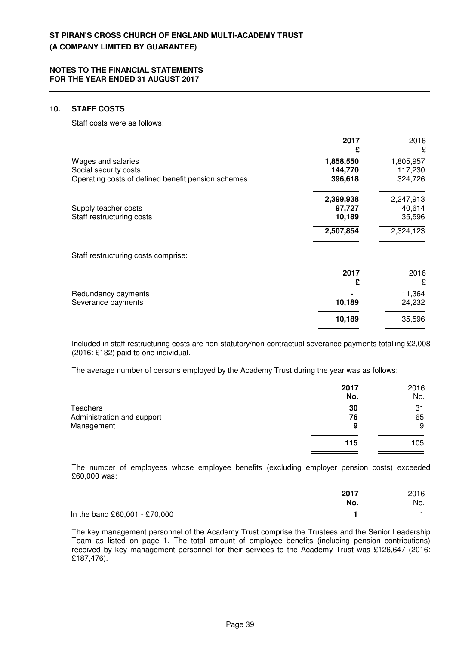#### **10. STAFF COSTS**

Staff costs were as follows:

|                                                                                                   | 2017<br>£                       | 2016<br>£                       |
|---------------------------------------------------------------------------------------------------|---------------------------------|---------------------------------|
| Wages and salaries<br>Social security costs<br>Operating costs of defined benefit pension schemes | 1,858,550<br>144,770<br>396,618 | 1,805,957<br>117,230<br>324,726 |
| Supply teacher costs<br>Staff restructuring costs                                                 | 2,399,938<br>97,727<br>10,189   | 2,247,913<br>40,614<br>35,596   |
|                                                                                                   | 2,507,854                       | 2,324,123                       |
| Staff restructuring costs comprise:                                                               |                                 |                                 |
|                                                                                                   | 2017<br>£                       | 2016<br>£                       |
| Redundancy payments<br>Severance payments                                                         | 10,189                          | 11,364<br>24,232                |
|                                                                                                   | 10,189                          | 35,596                          |

Included in staff restructuring costs are non-statutory/non-contractual severance payments totalling £2,008 (2016: £132) paid to one individual.

The average number of persons employed by the Academy Trust during the year was as follows:

|                            | 2017 | 2016 |
|----------------------------|------|------|
|                            | No.  | No.  |
| Teachers                   | 30   | 31   |
| Administration and support | 76   | 65   |
| Management                 | 9    | 9    |
|                            | 115  | 105  |
|                            |      |      |

The number of employees whose employee benefits (excluding employer pension costs) exceeded £60,000 was:

|                               | 2017<br>No. | 2016<br>No. |
|-------------------------------|-------------|-------------|
| In the band £60,001 - £70,000 |             |             |

The key management personnel of the Academy Trust comprise the Trustees and the Senior Leadership Team as listed on page 1. The total amount of employee benefits (including pension contributions) received by key management personnel for their services to the Academy Trust was £126,647 (2016: £187,476).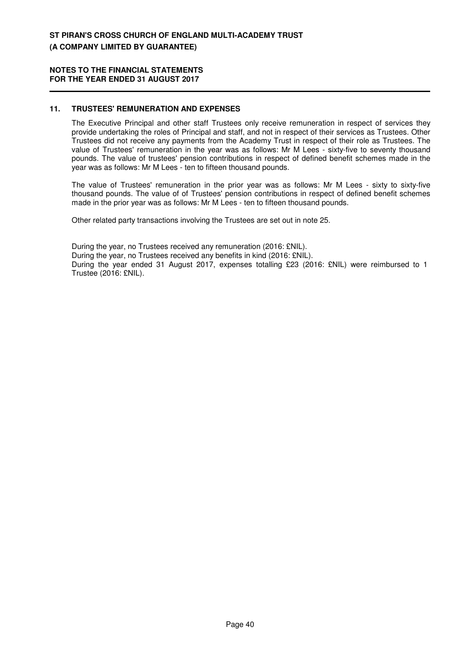#### **NOTES TO THE FINANCIAL STATEMENTS FOR THE YEAR ENDED 31 AUGUST 2017**

## **11. TRUSTEES' REMUNERATION AND EXPENSES**

The Executive Principal and other staff Trustees only receive remuneration in respect of services they provide undertaking the roles of Principal and staff, and not in respect of their services as Trustees. Other Trustees did not receive any payments from the Academy Trust in respect of their role as Trustees. The value of Trustees' remuneration in the year was as follows: Mr M Lees - sixty-five to seventy thousand pounds. The value of trustees' pension contributions in respect of defined benefit schemes made in the year was as follows: Mr M Lees - ten to fifteen thousand pounds.

The value of Trustees' remuneration in the prior year was as follows: Mr M Lees - sixty to sixty-five thousand pounds. The value of of Trustees' pension contributions in respect of defined benefit schemes made in the prior year was as follows: Mr M Lees - ten to fifteen thousand pounds.

Other related party transactions involving the Trustees are set out in note 25.

During the year, no Trustees received any remuneration (2016: £NIL). During the year, no Trustees received any benefits in kind (2016: £NIL). During the year ended 31 August 2017, expenses totalling £23 (2016: £NIL) were reimbursed to 1 Trustee (2016: £NIL).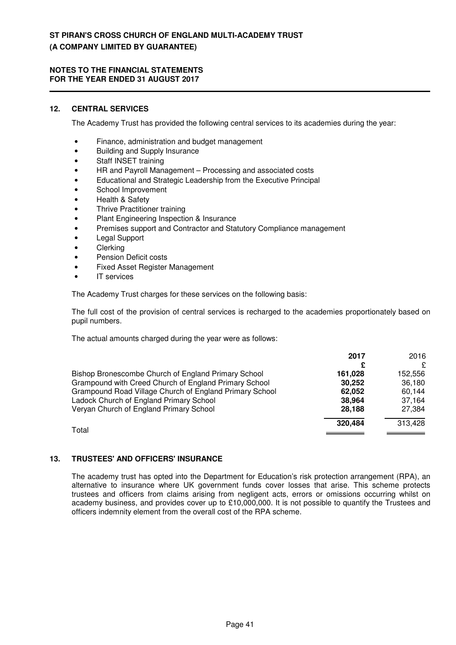#### **NOTES TO THE FINANCIAL STATEMENTS FOR THE YEAR ENDED 31 AUGUST 2017**

## **12. CENTRAL SERVICES**

The Academy Trust has provided the following central services to its academies during the year:

- Finance, administration and budget management
- Building and Supply Insurance
- Staff INSET training
- HR and Payroll Management Processing and associated costs
- Educational and Strategic Leadership from the Executive Principal
- School Improvement
- Health & Safety
- **Thrive Practitioner training**
- Plant Engineering Inspection & Insurance
- Premises support and Contractor and Statutory Compliance management
- Legal Support
- **Clerking**
- Pension Deficit costs
- Fixed Asset Register Management
- IT services

The Academy Trust charges for these services on the following basis:

The full cost of the provision of central services is recharged to the academies proportionately based on pupil numbers.

The actual amounts charged during the year were as follows:

|                                                         | 2017    | 2016    |
|---------------------------------------------------------|---------|---------|
|                                                         |         | £       |
| Bishop Bronescombe Church of England Primary School     | 161.028 | 152.556 |
| Grampound with Creed Church of England Primary School   | 30.252  | 36,180  |
| Grampound Road Village Church of England Primary School | 62.052  | 60,144  |
| Ladock Church of England Primary School                 | 38,964  | 37.164  |
| Veryan Church of England Primary School                 | 28.188  | 27.384  |
| Total                                                   | 320,484 | 313,428 |
|                                                         |         |         |

## **13. TRUSTEES' AND OFFICERS' INSURANCE**

The academy trust has opted into the Department for Education's risk protection arrangement (RPA), an alternative to insurance where UK government funds cover losses that arise. This scheme protects trustees and officers from claims arising from negligent acts, errors or omissions occurring whilst on academy business, and provides cover up to £10,000,000. It is not possible to quantify the Trustees and officers indemnity element from the overall cost of the RPA scheme.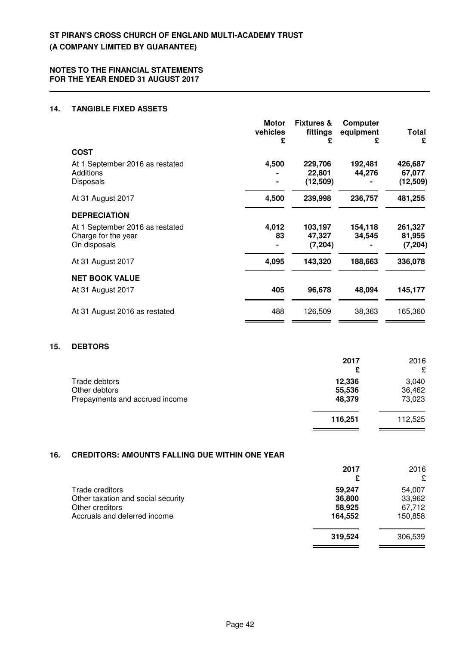## **14. TANGIBLE FIXED ASSETS**

|                                 | <b>Motor</b><br>vehicles<br>£ | <b>Fixtures &amp;</b><br>fittings<br>£ | Computer<br>equipment<br>£ | Total<br>£ |
|---------------------------------|-------------------------------|----------------------------------------|----------------------------|------------|
| <b>COST</b>                     |                               |                                        |                            |            |
| At 1 September 2016 as restated | 4,500                         | 229,706                                | 192,481                    | 426,687    |
| Additions                       |                               | 22,801                                 | 44,276                     | 67,077     |
| <b>Disposals</b>                |                               | (12, 509)                              |                            | (12,509)   |
| At 31 August 2017               | 4,500                         | 239,998                                | 236,757                    | 481,255    |
| <b>DEPRECIATION</b>             |                               |                                        |                            |            |
| At 1 September 2016 as restated | 4,012                         | 103,197                                | 154,118                    | 261,327    |
| Charge for the year             | 83                            | 47,327                                 | 34,545                     | 81,955     |
| On disposals                    |                               | (7, 204)                               |                            | (7, 204)   |
| At 31 August 2017               | 4,095                         | 143,320                                | 188,663                    | 336,078    |
| <b>NET BOOK VALUE</b>           |                               |                                        |                            |            |
| At 31 August 2017               | 405                           | 96,678                                 | 48,094                     | 145,177    |
| At 31 August 2016 as restated   | 488                           | 126,509                                | 38,363                     | 165,360    |
|                                 |                               |                                        |                            |            |

#### **15. DEBTORS**

|                                                 | 2017<br>£        | 2016<br>£       |
|-------------------------------------------------|------------------|-----------------|
| Trade debtors                                   | 12,336<br>55,536 | 3,040<br>36,462 |
| Other debtors<br>Prepayments and accrued income | 48,379           | 73,023          |
|                                                 | 116,251          | 112,525         |

## **16. CREDITORS: AMOUNTS FALLING DUE WITHIN ONE YEAR**

|                                    | 2017<br>£ | 2016<br>£ |
|------------------------------------|-----------|-----------|
| Trade creditors                    | 59,247    | 54,007    |
| Other taxation and social security | 36,800    | 33,962    |
| Other creditors                    | 58,925    | 67,712    |
| Accruals and deferred income       | 164,552   | 150,858   |
|                                    | 319,524   | 306,539   |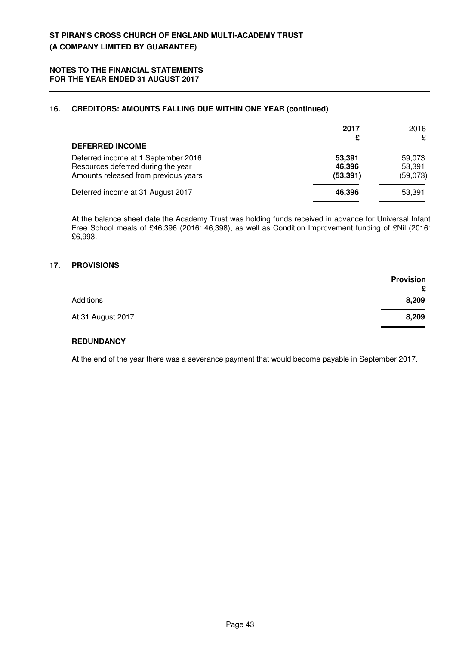## **16. CREDITORS: AMOUNTS FALLING DUE WITHIN ONE YEAR (continued)**

|                                                                                                                   | 2017<br>£                     | 2016<br>£                    |
|-------------------------------------------------------------------------------------------------------------------|-------------------------------|------------------------------|
| <b>DEFERRED INCOME</b>                                                                                            |                               |                              |
| Deferred income at 1 September 2016<br>Resources deferred during the year<br>Amounts released from previous years | 53,391<br>46,396<br>(53, 391) | 59,073<br>53,391<br>(59,073) |
| Deferred income at 31 August 2017                                                                                 | 46,396                        | 53,391                       |

At the balance sheet date the Academy Trust was holding funds received in advance for Universal Infant Free School meals of £46,396 (2016: 46,398), as well as Condition Improvement funding of £Nil (2016: £6,993.

## **17. PROVISIONS**

|                   | <b>Provision</b><br>£ |
|-------------------|-----------------------|
| <b>Additions</b>  | 8,209                 |
| At 31 August 2017 | 8,209                 |

## **REDUNDANCY**

At the end of the year there was a severance payment that would become payable in September 2017.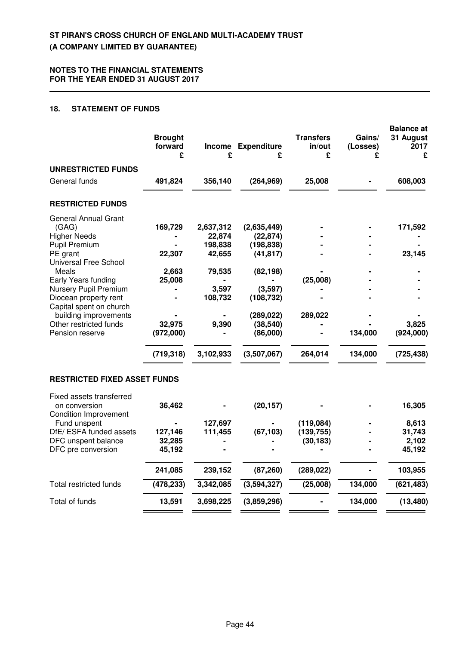## **18. STATEMENT OF FUNDS**

| <b>UNRESTRICTED FUNDS</b><br>General funds<br>491,824<br>356,140<br>(264, 969)<br>25,008<br><b>RESTRICTED FUNDS</b><br><b>General Annual Grant</b><br>(GAG)<br>169,729<br>2,637,312<br>(2,635,449)<br><b>Higher Needs</b><br>22,874<br>(22, 874)<br>Pupil Premium<br>198,838<br>(198, 838)<br>PE grant<br>22,307<br>42,655<br>(41, 817) | 608,003<br>171,592<br>23,145 |
|-----------------------------------------------------------------------------------------------------------------------------------------------------------------------------------------------------------------------------------------------------------------------------------------------------------------------------------------|------------------------------|
|                                                                                                                                                                                                                                                                                                                                         |                              |
|                                                                                                                                                                                                                                                                                                                                         |                              |
|                                                                                                                                                                                                                                                                                                                                         |                              |
|                                                                                                                                                                                                                                                                                                                                         |                              |
|                                                                                                                                                                                                                                                                                                                                         |                              |
|                                                                                                                                                                                                                                                                                                                                         |                              |
|                                                                                                                                                                                                                                                                                                                                         |                              |
| Universal Free School                                                                                                                                                                                                                                                                                                                   |                              |
| Meals<br>2,663<br>79,535<br>(82, 198)                                                                                                                                                                                                                                                                                                   |                              |
| (25,008)<br>Early Years funding<br>25,008                                                                                                                                                                                                                                                                                               |                              |
| Nursery Pupil Premium<br>3,597<br>(3,597)<br>108,732                                                                                                                                                                                                                                                                                    |                              |
| Diocean property rent<br>(108, 732)<br>Capital spent on church                                                                                                                                                                                                                                                                          |                              |
| building improvements<br>289,022<br>(289, 022)                                                                                                                                                                                                                                                                                          |                              |
| Other restricted funds<br>32,975<br>9,390<br>(38, 540)                                                                                                                                                                                                                                                                                  | 3,825                        |
| Pension reserve<br>(972,000)<br>(86,000)<br>134,000                                                                                                                                                                                                                                                                                     | (924,000)                    |
| (719, 318)<br>3,102,933<br>(3,507,067)<br>264,014<br>134,000                                                                                                                                                                                                                                                                            | (725, 438)                   |
| <b>RESTRICTED FIXED ASSET FUNDS</b>                                                                                                                                                                                                                                                                                                     |                              |
| Fixed assets transferred<br>36,462<br>(20, 157)<br>on conversion<br><b>Condition Improvement</b>                                                                                                                                                                                                                                        | 16,305                       |
| 127,697<br>Fund unspent<br>(119,084)                                                                                                                                                                                                                                                                                                    | 8,613                        |
| DfE/ ESFA funded assets<br>127,146<br>111,455<br>(67, 103)<br>(139, 755)                                                                                                                                                                                                                                                                | 31,743                       |
| DFC unspent balance<br>32,285<br>(30, 183)                                                                                                                                                                                                                                                                                              | 2,102                        |
| DFC pre conversion<br>45,192                                                                                                                                                                                                                                                                                                            | 45,192                       |
| 241,085<br>239,152<br>(87, 260)<br>(289, 022)                                                                                                                                                                                                                                                                                           | 103,955                      |
| (478, 233)<br>3,342,085<br>(3,594,327)<br>(25,008)<br>134,000<br><b>Total restricted funds</b>                                                                                                                                                                                                                                          | (621, 483)                   |
| Total of funds<br>13,591<br>3,698,225<br>(3,859,296)<br>134,000                                                                                                                                                                                                                                                                         | (13, 480)                    |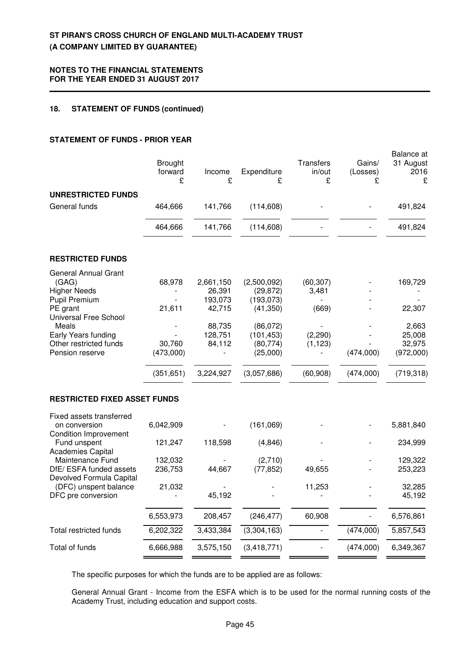#### **NOTES TO THE FINANCIAL STATEMENTS FOR THE YEAR ENDED 31 AUGUST 2017**

## **18. STATEMENT OF FUNDS (continued)**

## **STATEMENT OF FUNDS - PRIOR YEAR**

|                                                                          | <b>Brought</b><br>forward<br>£ | Income<br>£       | Expenditure<br>£        | Transfers<br>in/out<br>£ | Gains/<br>(Losses)<br>£ | <b>Balance</b> at<br>31 August<br>2016<br>£ |
|--------------------------------------------------------------------------|--------------------------------|-------------------|-------------------------|--------------------------|-------------------------|---------------------------------------------|
| <b>UNRESTRICTED FUNDS</b>                                                |                                |                   |                         |                          |                         |                                             |
| General funds                                                            | 464,666                        | 141,766           | (114, 608)              |                          |                         | 491,824                                     |
|                                                                          | 464,666                        | 141,766           | (114, 608)              |                          |                         | 491,824                                     |
| <b>RESTRICTED FUNDS</b>                                                  |                                |                   |                         |                          |                         |                                             |
| <b>General Annual Grant</b>                                              |                                |                   |                         |                          |                         |                                             |
| (GAG)                                                                    | 68,978                         | 2,661,150         | (2,500,092)             | (60, 307)                |                         | 169,729                                     |
| <b>Higher Needs</b><br><b>Pupil Premium</b>                              |                                | 26,391<br>193,073 | (29, 872)<br>(193,073)  | 3,481                    |                         |                                             |
| PE grant                                                                 | 21,611                         | 42,715            | (41, 350)               | (669)                    |                         | 22,307                                      |
| Universal Free School                                                    |                                |                   |                         |                          |                         |                                             |
| Meals                                                                    |                                | 88,735<br>128,751 | (86, 072)               |                          |                         | 2,663                                       |
| Early Years funding<br>Other restricted funds                            | 30,760                         | 84,112            | (101, 453)<br>(80, 774) | (2, 290)<br>(1, 123)     |                         | 25,008<br>32,975                            |
| Pension reserve                                                          | (473,000)                      |                   | (25,000)                |                          | (474,000)               | (972,000)                                   |
|                                                                          | (351, 651)                     | 3,224,927         | (3,057,686)             | (60, 908)                | (474,000)               | (719, 318)                                  |
| <b>RESTRICTED FIXED ASSET FUNDS</b>                                      |                                |                   |                         |                          |                         |                                             |
| Fixed assets transferred                                                 |                                |                   |                         |                          |                         |                                             |
| on conversion                                                            | 6,042,909                      |                   | (161,069)               |                          |                         | 5,881,840                                   |
| <b>Condition Improvement</b><br>Fund unspent<br><b>Academies Capital</b> | 121,247                        | 118,598           | (4,846)                 |                          |                         | 234,999                                     |
| Maintenance Fund                                                         | 132,032                        |                   | (2,710)                 |                          |                         | 129,322                                     |
| DfE/ ESFA funded assets<br>Devolved Formula Capital                      | 236,753                        | 44,667            | (77, 852)               | 49,655                   |                         | 253,223                                     |
| (DFC) unspent balance                                                    | 21,032                         |                   |                         | 11,253                   |                         | 32,285                                      |
| DFC pre conversion                                                       |                                | 45,192            |                         |                          |                         | 45,192                                      |
|                                                                          | 6,553,973                      | 208,457           | (246, 477)              | 60,908                   |                         | 6,576,861                                   |
| Total restricted funds                                                   | 6,202,322                      | 3,433,384         | (3,304,163)             |                          | (474,000)               | 5,857,543                                   |
| Total of funds                                                           | 6,666,988                      | 3,575,150         | (3, 418, 771)           |                          | (474,000)               | 6,349,367                                   |
|                                                                          |                                |                   |                         |                          |                         |                                             |

The specific purposes for which the funds are to be applied are as follows:

General Annual Grant - Income from the ESFA which is to be used for the normal running costs of the Academy Trust, including education and support costs.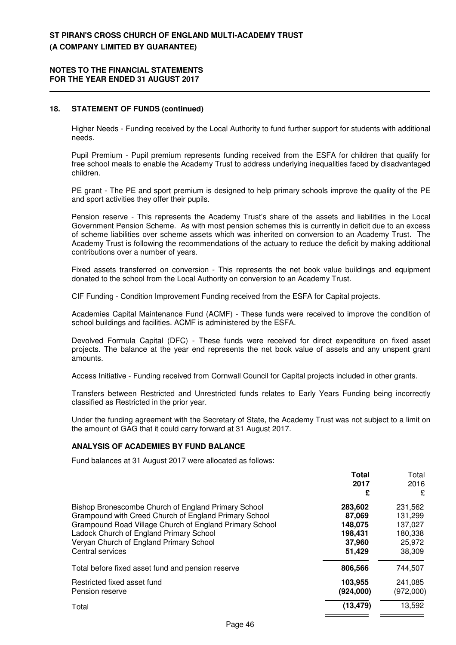#### **NOTES TO THE FINANCIAL STATEMENTS FOR THE YEAR ENDED 31 AUGUST 2017**

#### **18. STATEMENT OF FUNDS (continued)**

Higher Needs - Funding received by the Local Authority to fund further support for students with additional needs.

Pupil Premium - Pupil premium represents funding received from the ESFA for children that qualify for free school meals to enable the Academy Trust to address underlying inequalities faced by disadvantaged children.

PE grant - The PE and sport premium is designed to help primary schools improve the quality of the PE and sport activities they offer their pupils.

Pension reserve - This represents the Academy Trust's share of the assets and liabilities in the Local Government Pension Scheme. As with most pension schemes this is currently in deficit due to an excess of scheme liabilities over scheme assets which was inherited on conversion to an Academy Trust. The Academy Trust is following the recommendations of the actuary to reduce the deficit by making additional contributions over a number of years.

Fixed assets transferred on conversion - This represents the net book value buildings and equipment donated to the school from the Local Authority on conversion to an Academy Trust.

CIF Funding - Condition Improvement Funding received from the ESFA for Capital projects.

Academies Capital Maintenance Fund (ACMF) - These funds were received to improve the condition of school buildings and facilities. ACMF is administered by the ESFA.

Devolved Formula Capital (DFC) - These funds were received for direct expenditure on fixed asset projects. The balance at the year end represents the net book value of assets and any unspent grant amounts.

Access Initiative - Funding received from Cornwall Council for Capital projects included in other grants.

Transfers between Restricted and Unrestricted funds relates to Early Years Funding being incorrectly classified as Restricted in the prior year.

Under the funding agreement with the Secretary of State, the Academy Trust was not subject to a limit on the amount of GAG that it could carry forward at 31 August 2017.

#### **ANALYSIS OF ACADEMIES BY FUND BALANCE**

Fund balances at 31 August 2017 were allocated as follows:

|                                                                                                                                                                                                                                                                                   | <b>Total</b><br>2017<br>£                                   | Total<br>2016<br>£                                           |
|-----------------------------------------------------------------------------------------------------------------------------------------------------------------------------------------------------------------------------------------------------------------------------------|-------------------------------------------------------------|--------------------------------------------------------------|
| Bishop Bronescombe Church of England Primary School<br>Grampound with Creed Church of England Primary School<br>Grampound Road Village Church of England Primary School<br>Ladock Church of England Primary School<br>Veryan Church of England Primary School<br>Central services | 283,602<br>87,069<br>148,075<br>198.431<br>37,960<br>51,429 | 231,562<br>131,299<br>137,027<br>180,338<br>25,972<br>38,309 |
| Total before fixed asset fund and pension reserve                                                                                                                                                                                                                                 | 806,566                                                     | 744,507                                                      |
| Restricted fixed asset fund<br>Pension reserve                                                                                                                                                                                                                                    | 103,955<br>(924,000)                                        | 241,085<br>(972,000)                                         |
| Total                                                                                                                                                                                                                                                                             | (13, 479)                                                   | 13,592                                                       |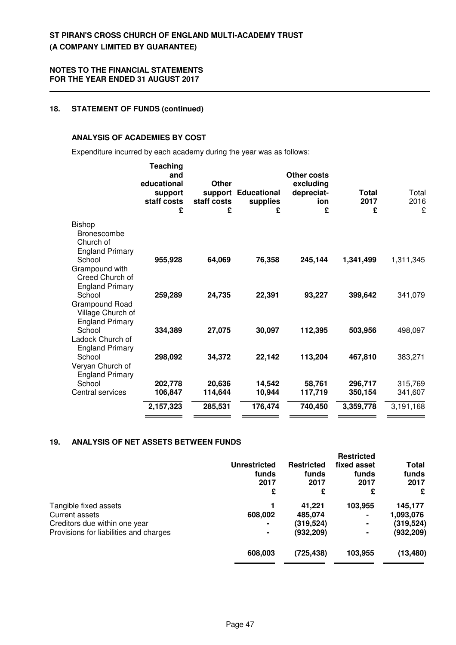### **18. STATEMENT OF FUNDS (continued)**

## **ANALYSIS OF ACADEMIES BY COST**

Expenditure incurred by each academy during the year was as follows:

|                                                                           | Teaching<br>and<br>educational<br>support<br>staff costs<br>£ | Other<br>support<br>staff costs<br>£ | <b>Educational</b><br>supplies<br>£ | Other costs<br>excluding<br>depreciat-<br>ion<br>£ | Total<br>2017<br>£ | Total<br>2016<br>£ |
|---------------------------------------------------------------------------|---------------------------------------------------------------|--------------------------------------|-------------------------------------|----------------------------------------------------|--------------------|--------------------|
| <b>Bishop</b><br><b>Bronescombe</b><br>Church of                          |                                                               |                                      |                                     |                                                    |                    |                    |
| <b>England Primary</b><br>School<br>Grampound with                        | 955,928                                                       | 64,069                               | 76,358                              | 245,144                                            | 1,341,499          | 1,311,345          |
| Creed Church of<br><b>England Primary</b><br>School<br>Grampound Road     | 259,289                                                       | 24,735                               | 22,391                              | 93,227                                             | 399,642            | 341,079            |
| Village Church of<br><b>England Primary</b><br>School<br>Ladock Church of | 334,389                                                       | 27,075                               | 30,097                              | 112,395                                            | 503,956            | 498,097            |
| <b>England Primary</b><br>School<br>Veryan Church of                      | 298,092                                                       | 34,372                               | 22,142                              | 113,204                                            | 467,810            | 383,271            |
| <b>England Primary</b><br>School<br>Central services                      | 202,778<br>106,847                                            | 20,636<br>114,644                    | 14,542<br>10,944                    | 58,761<br>117,719                                  | 296,717<br>350,154 | 315,769<br>341,607 |
|                                                                           | 2,157,323                                                     | 285,531                              | 176,474                             | 740,450                                            | 3,359,778          | 3,191,168          |

## **19. ANALYSIS OF NET ASSETS BETWEEN FUNDS**

|                                        | Unrestricted<br>funds<br>2017<br>£ | <b>Restricted</b><br>funds<br>2017<br>£ | <b>Restricted</b><br>fixed asset<br>funds<br>2017<br>£ | Total<br>funds<br>2017<br>£ |
|----------------------------------------|------------------------------------|-----------------------------------------|--------------------------------------------------------|-----------------------------|
| Tangible fixed assets                  |                                    | 41,221                                  | 103,955                                                | 145,177                     |
| Current assets                         | 608,002                            | 485,074                                 |                                                        | 1,093,076                   |
| Creditors due within one year          | $\blacksquare$                     | (319, 524)                              |                                                        | (319,524)                   |
| Provisions for liabilities and charges |                                    | (932, 209)                              |                                                        | (932,209)                   |
|                                        | 608,003                            | (725, 438)                              | 103,955                                                | (13, 480)                   |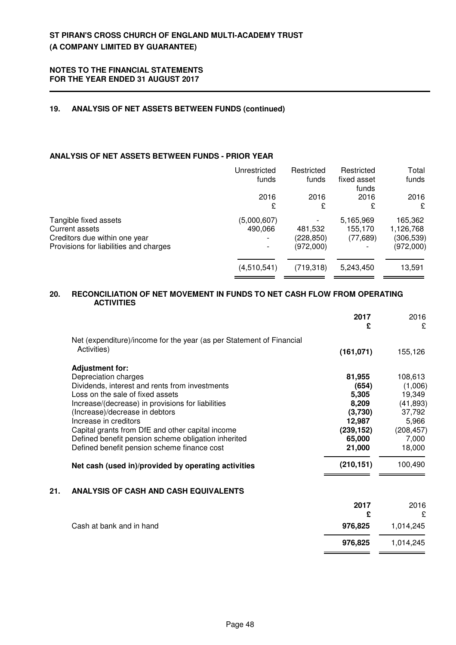## **19. ANALYSIS OF NET ASSETS BETWEEN FUNDS (continued)**

## **ANALYSIS OF NET ASSETS BETWEEN FUNDS - PRIOR YEAR**

|                                        | Unrestricted | Restricted | Restricted           | Total     |
|----------------------------------------|--------------|------------|----------------------|-----------|
|                                        | funds        | funds      | fixed asset<br>funds | funds     |
|                                        | 2016         | 2016       | 2016                 | 2016      |
|                                        | £            | £          | £                    | £         |
| Tangible fixed assets                  | (5,000,607)  |            | 5,165,969            | 165,362   |
| Current assets                         | 490,066      | 481,532    | 155,170              | 1,126,768 |
| Creditors due within one year          |              | (228, 850) | (77, 689)            | (306,539) |
| Provisions for liabilities and charges |              | (972,000)  |                      | (972,000) |
|                                        |              |            |                      |           |
|                                        | (4,510,541)  | (719, 318) | 5,243,450            | 13,591    |
|                                        |              |            |                      |           |

## **20. RECONCILIATION OF NET MOVEMENT IN FUNDS TO NET CASH FLOW FROM OPERATING ACTIVITIES**

|     |                                                                      | 2017<br>£  | 2016<br>£  |
|-----|----------------------------------------------------------------------|------------|------------|
|     | Net (expenditure)/income for the year (as per Statement of Financial |            |            |
|     | Activities)                                                          | (161, 071) | 155,126    |
|     | <b>Adjustment for:</b>                                               |            |            |
|     | Depreciation charges                                                 | 81,955     | 108,613    |
|     | Dividends, interest and rents from investments                       | (654)      | (1,006)    |
|     | Loss on the sale of fixed assets                                     | 5,305      | 19,349     |
|     | Increase/(decrease) in provisions for liabilities                    | 8,209      | (41, 893)  |
|     | (Increase)/decrease in debtors                                       | (3,730)    | 37,792     |
|     | Increase in creditors                                                | 12,987     | 5,966      |
|     | Capital grants from DfE and other capital income                     | (239, 152) | (208, 457) |
|     | Defined benefit pension scheme obligation inherited                  | 65,000     | 7,000      |
|     | Defined benefit pension scheme finance cost                          | 21,000     | 18,000     |
|     | Net cash (used in)/provided by operating activities                  | (210, 151) | 100,490    |
| 21. | <b>ANALYSIS OF CASH AND CASH EQUIVALENTS</b>                         |            |            |
|     |                                                                      | 2017       | 2016       |
|     |                                                                      | £          | £          |
|     | Cash at bank and in hand                                             | 976,825    | 1,014,245  |
|     |                                                                      | 976,825    | 1,014,245  |
|     |                                                                      |            |            |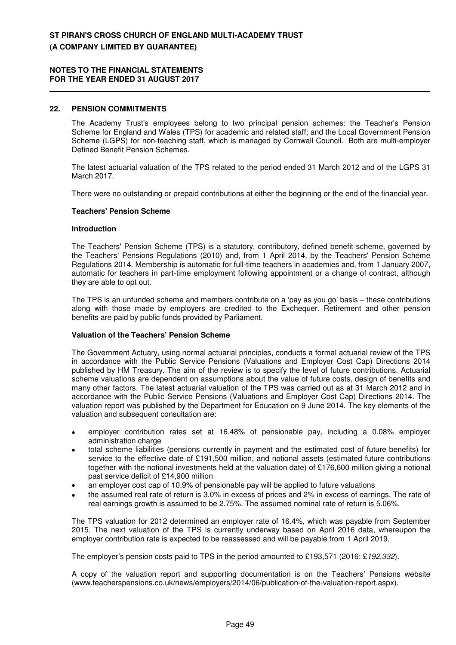#### **22. PENSION COMMITMENTS**

The Academy Trust's employees belong to two principal pension schemes: the Teacher's Pension Scheme for England and Wales (TPS) for academic and related staff; and the Local Government Pension Scheme (LGPS) for non-teaching staff, which is managed by Cornwall Council. Both are multi-employer Defined Benefit Pension Schemes.

The latest actuarial valuation of the TPS related to the period ended 31 March 2012 and of the LGPS 31 March 2017.

There were no outstanding or prepaid contributions at either the beginning or the end of the financial year.

#### **Teachers' Pension Scheme**

#### **Introduction**

The Teachers' Pension Scheme (TPS) is a statutory, contributory, defined benefit scheme, governed by the Teachers' Pensions Regulations (2010) and, from 1 April 2014, by the Teachers' Pension Scheme Regulations 2014. Membership is automatic for full-time teachers in academies and, from 1 January 2007, automatic for teachers in part-time employment following appointment or a change of contract, although they are able to opt out.

The TPS is an unfunded scheme and members contribute on a 'pay as you go' basis – these contributions along with those made by employers are credited to the Exchequer. Retirement and other pension benefits are paid by public funds provided by Parliament.

#### **Valuation of the Teachers' Pension Scheme**

The Government Actuary, using normal actuarial principles, conducts a formal actuarial review of the TPS in accordance with the Public Service Pensions (Valuations and Employer Cost Cap) Directions 2014 published by HM Treasury. The aim of the review is to specify the level of future contributions. Actuarial scheme valuations are dependent on assumptions about the value of future costs, design of benefits and many other factors. The latest actuarial valuation of the TPS was carried out as at 31 March 2012 and in accordance with the Public Service Pensions (Valuations and Employer Cost Cap) Directions 2014. The valuation report was published by the Department for Education on 9 June 2014. The key elements of the valuation and subsequent consultation are:

- employer contribution rates set at 16.48% of pensionable pay, including a 0.08% employer administration charge
- total scheme liabilities (pensions currently in payment and the estimated cost of future benefits) for service to the effective date of £191,500 million, and notional assets (estimated future contributions together with the notional investments held at the valuation date) of £176,600 million giving a notional past service deficit of £14,900 million
- an employer cost cap of 10.9% of pensionable pay will be applied to future valuations
- the assumed real rate of return is 3.0% in excess of prices and 2% in excess of earnings. The rate of real earnings growth is assumed to be 2.75%. The assumed nominal rate of return is 5.06%.

The TPS valuation for 2012 determined an employer rate of 16.4%, which was payable from September 2015. The next valuation of the TPS is currently underway based on April 2016 data, whereupon the employer contribution rate is expected to be reassessed and will be payable from 1 April 2019.

The employer's pension costs paid to TPS in the period amounted to £193,571 (2016: £192,332).

A copy of the valuation report and supporting documentation is on the Teachers' Pensions website (www.teacherspensions.co.uk/news/employers/2014/06/publication-of-the-valuation-report.aspx).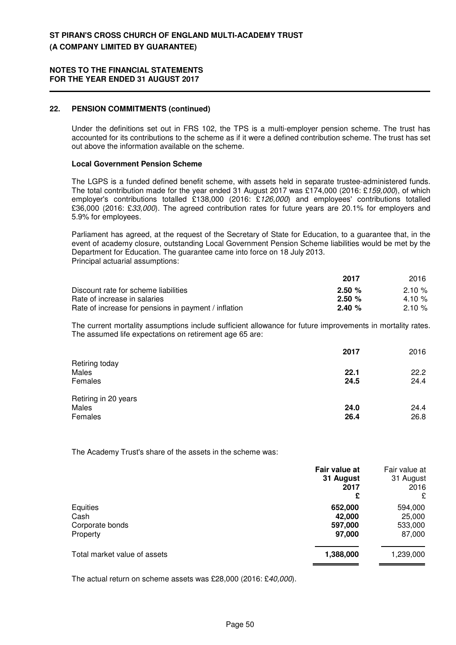## **22. PENSION COMMITMENTS (continued)**

Under the definitions set out in FRS 102, the TPS is a multi-employer pension scheme. The trust has accounted for its contributions to the scheme as if it were a defined contribution scheme. The trust has set out above the information available on the scheme.

#### **Local Government Pension Scheme**

The LGPS is a funded defined benefit scheme, with assets held in separate trustee-administered funds. The total contribution made for the year ended 31 August 2017 was £174,000 (2016: £159,000), of which employer's contributions totalled £138,000 (2016: £126,000) and employees' contributions totalled £36,000 (2016: £33,000). The agreed contribution rates for future years are 20.1% for employers and 5.9% for employees.

Parliament has agreed, at the request of the Secretary of State for Education, to a guarantee that, in the event of academy closure, outstanding Local Government Pension Scheme liabilities would be met by the Department for Education. The guarantee came into force on 18 July 2013. Principal actuarial assumptions:

|                                                      | 2017      | 2016      |
|------------------------------------------------------|-----------|-----------|
| Discount rate for scheme liabilities                 | 2.50%     | $2.10 \%$ |
| Rate of increase in salaries                         | 2.50%     | 4.10 $%$  |
| Rate of increase for pensions in payment / inflation | $2.40 \%$ | $2.10 \%$ |

The current mortality assumptions include sufficient allowance for future improvements in mortality rates. The assumed life expectations on retirement age 65 are:

|                                          | 2017         | 2016         |
|------------------------------------------|--------------|--------------|
| Retiring today<br>Males<br>Females       | 22.1<br>24.5 | 22.2<br>24.4 |
| Retiring in 20 years<br>Males<br>Females | 24.0<br>26.4 | 24.4<br>26.8 |

The Academy Trust's share of the assets in the scheme was:

|                              | Fair value at<br>31 August<br>2017 | Fair value at<br>31 August<br>2016 |
|------------------------------|------------------------------------|------------------------------------|
|                              | £                                  | £                                  |
| Equities                     | 652,000                            | 594,000                            |
| Cash                         | 42,000                             | 25,000                             |
| Corporate bonds              | 597,000                            | 533,000                            |
| Property                     | 97,000                             | 87,000                             |
| Total market value of assets | 1,388,000                          | 1,239,000                          |

The actual return on scheme assets was £28,000 (2016: £40,000).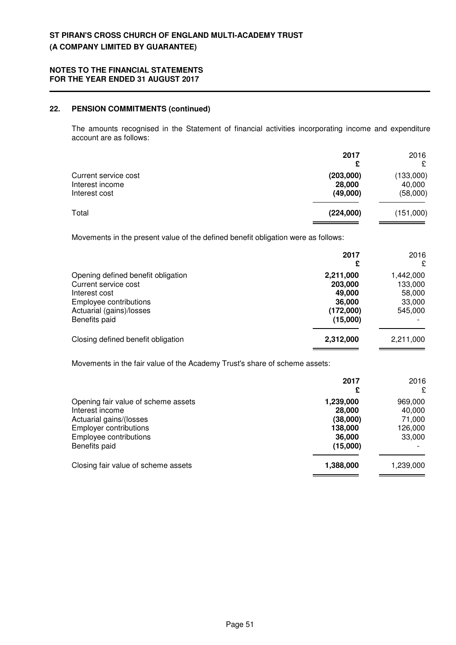### **22. PENSION COMMITMENTS (continued)**

The amounts recognised in the Statement of financial activities incorporating income and expenditure account are as follows:

|                                                          | 2017<br>£                       | 2016<br>£                       |
|----------------------------------------------------------|---------------------------------|---------------------------------|
| Current service cost<br>Interest income<br>Interest cost | (203,000)<br>28,000<br>(49,000) | (133,000)<br>40,000<br>(58,000) |
| Total                                                    | (224,000)                       | (151,000)                       |

Movements in the present value of the defined benefit obligation were as follows:

|                                                                                                                                                    | 2017<br>£                                                         | 2016<br>£                                           |
|----------------------------------------------------------------------------------------------------------------------------------------------------|-------------------------------------------------------------------|-----------------------------------------------------|
| Opening defined benefit obligation<br>Current service cost<br>Interest cost<br>Employee contributions<br>Actuarial (gains)/losses<br>Benefits paid | 2,211,000<br>203,000<br>49,000<br>36,000<br>(172,000)<br>(15,000) | 1,442,000<br>133,000<br>58,000<br>33,000<br>545,000 |
| Closing defined benefit obligation                                                                                                                 | 2,312,000                                                         | 2,211,000                                           |

Movements in the fair value of the Academy Trust's share of scheme assets:

|                                     | 2017<br>£ | 2016<br>£ |
|-------------------------------------|-----------|-----------|
| Opening fair value of scheme assets | 1,239,000 | 969,000   |
| Interest income                     | 28,000    | 40,000    |
| Actuarial gains/(losses             | (38,000)  | 71,000    |
| <b>Employer contributions</b>       | 138,000   | 126,000   |
| Employee contributions              | 36,000    | 33,000    |
| Benefits paid                       | (15,000)  |           |
| Closing fair value of scheme assets | 1,388,000 | 1,239,000 |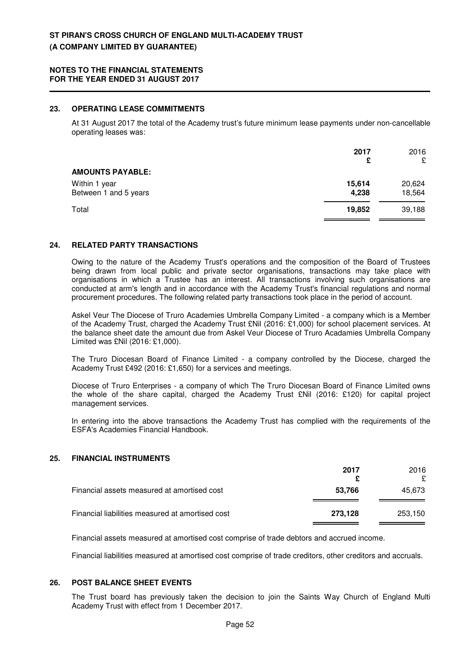## **23. OPERATING LEASE COMMITMENTS**

At 31 August 2017 the total of the Academy trust's future minimum lease payments under non-cancellable operating leases was:

|                                        | 2017<br>£       | 2016<br>£        |
|----------------------------------------|-----------------|------------------|
| <b>AMOUNTS PAYABLE:</b>                |                 |                  |
| Within 1 year<br>Between 1 and 5 years | 15,614<br>4,238 | 20,624<br>18,564 |
| Total                                  | 19,852          | 39,188           |

#### **24. RELATED PARTY TRANSACTIONS**

Owing to the nature of the Academy Trust's operations and the composition of the Board of Trustees being drawn from local public and private sector organisations, transactions may take place with organisations in which a Trustee has an interest. All transactions involving such organisations are conducted at arm's length and in accordance with the Academy Trust's financial regulations and normal procurement procedures. The following related party transactions took place in the period of account.

Askel Veur The Diocese of Truro Academies Umbrella Company Limited - a company which is a Member of the Academy Trust, charged the Academy Trust £Nil (2016: £1,000) for school placement services. At the balance sheet date the amount due from Askel Veur Diocese of Truro Acadamies Umbrella Company Limited was £Nil (2016: £1,000).

The Truro Diocesan Board of Finance Limited - a company controlled by the Diocese, charged the Academy Trust £492 (2016: £1,650) for a services and meetings.

Diocese of Truro Enterprises - a company of which The Truro Diocesan Board of Finance Limited owns the whole of the share capital, charged the Academy Trust £Nil (2016: £120) for capital project management services.

In entering into the above transactions the Academy Trust has complied with the requirements of the ESFA's Academies Financial Handbook.

## **25. FINANCIAL INSTRUMENTS**

|                                                  | 2017    | 2016<br>£ |
|--------------------------------------------------|---------|-----------|
| Financial assets measured at amortised cost      | 53,766  | 45.673    |
| Financial liabilities measured at amortised cost | 273,128 | 253,150   |

Financial assets measured at amortised cost comprise of trade debtors and accrued income.

Financial liabilities measured at amortised cost comprise of trade creditors, other creditors and accruals.

## **26. POST BALANCE SHEET EVENTS**

The Trust board has previously taken the decision to join the Saints Way Church of England Multi Academy Trust with effect from 1 December 2017.